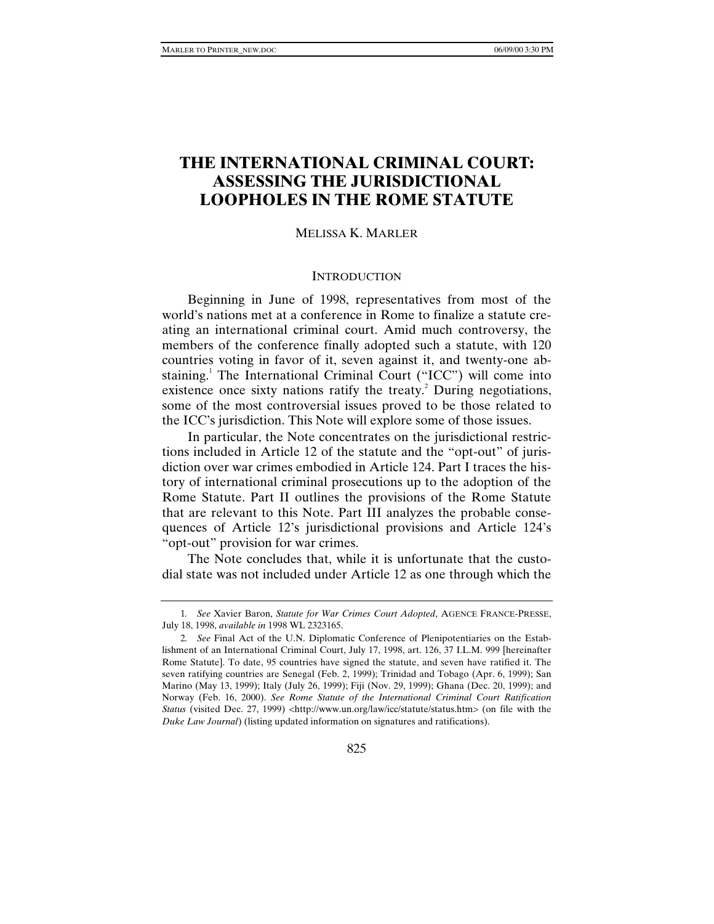# **THE INTERNATIONAL CRIMINAL COURT: ASSESSING THE JURISDICTIONAL LOOPHOLES IN THE ROME STATUTE**

#### MELISSA K. MARLER

### **INTRODUCTION**

Beginning in June of 1998, representatives from most of the world's nations met at a conference in Rome to finalize a statute creating an international criminal court. Amid much controversy, the members of the conference finally adopted such a statute, with 120 countries voting in favor of it, seven against it, and twenty-one abstaining.<sup>1</sup> The International Criminal Court ("ICC") will come into existence once sixty nations ratify the treaty.<sup>2</sup> During negotiations, some of the most controversial issues proved to be those related to the ICC's jurisdiction. This Note will explore some of those issues.

In particular, the Note concentrates on the jurisdictional restrictions included in Article 12 of the statute and the "opt-out" of jurisdiction over war crimes embodied in Article 124. Part I traces the history of international criminal prosecutions up to the adoption of the Rome Statute. Part II outlines the provisions of the Rome Statute that are relevant to this Note. Part III analyzes the probable consequences of Article 12's jurisdictional provisions and Article 124's "opt-out" provision for war crimes.

The Note concludes that, while it is unfortunate that the custodial state was not included under Article 12 as one through which the

825

<sup>1</sup>*. See* Xavier Baron, *Statute for War Crimes Court Adopted*, AGENCE FRANCE-PRESSE, July 18, 1998, *available in* 1998 WL 2323165.

<sup>2</sup>*. See* Final Act of the U.N. Diplomatic Conference of Plenipotentiaries on the Establishment of an International Criminal Court, July 17, 1998, art. 126, 37 I.L.M. 999 [hereinafter Rome Statute]. To date, 95 countries have signed the statute, and seven have ratified it. The seven ratifying countries are Senegal (Feb. 2, 1999); Trinidad and Tobago (Apr. 6, 1999); San Marino (May 13, 1999); Italy (July 26, 1999); Fiji (Nov. 29, 1999); Ghana (Dec. 20, 1999); and Norway (Feb. 16, 2000). *See Rome Statute of the International Criminal Court Ratification Status* (visited Dec. 27, 1999) <http://www.un.org/law/icc/statute/status.htm> (on file with the *Duke Law Journal*) (listing updated information on signatures and ratifications).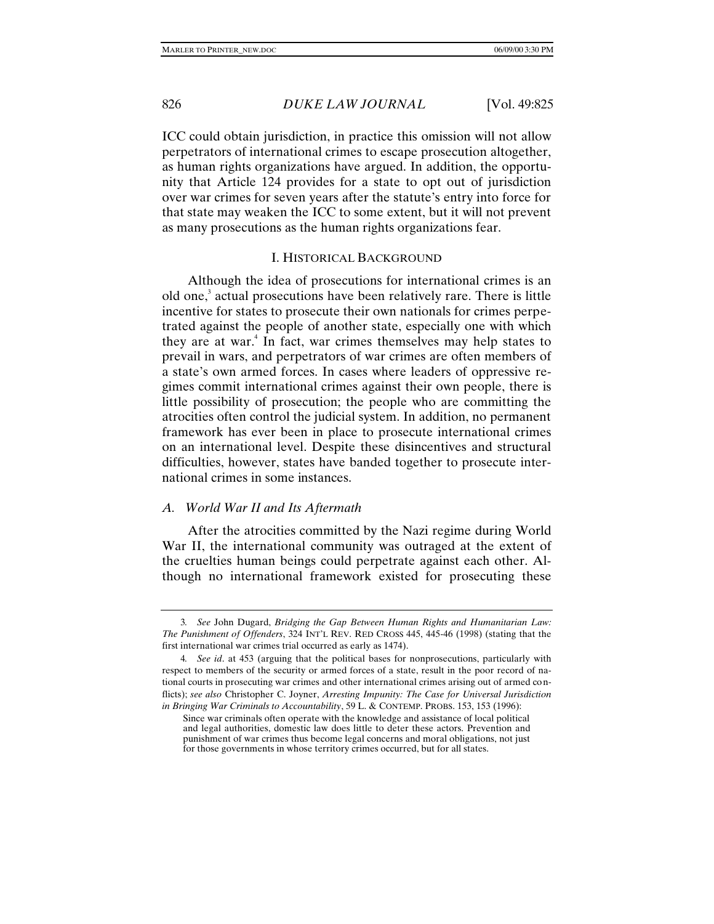ICC could obtain jurisdiction, in practice this omission will not allow perpetrators of international crimes to escape prosecution altogether, as human rights organizations have argued. In addition, the opportunity that Article 124 provides for a state to opt out of jurisdiction over war crimes for seven years after the statute's entry into force for that state may weaken the ICC to some extent, but it will not prevent as many prosecutions as the human rights organizations fear.

### I. HISTORICAL BACKGROUND

Although the idea of prosecutions for international crimes is an old one,<sup>3</sup> actual prosecutions have been relatively rare. There is little incentive for states to prosecute their own nationals for crimes perpetrated against the people of another state, especially one with which they are at war.<sup>4</sup> In fact, war crimes themselves may help states to prevail in wars, and perpetrators of war crimes are often members of a state's own armed forces. In cases where leaders of oppressive regimes commit international crimes against their own people, there is little possibility of prosecution; the people who are committing the atrocities often control the judicial system. In addition, no permanent framework has ever been in place to prosecute international crimes on an international level. Despite these disincentives and structural difficulties, however, states have banded together to prosecute international crimes in some instances.

## *A. World War II and Its Aftermath*

After the atrocities committed by the Nazi regime during World War II, the international community was outraged at the extent of the cruelties human beings could perpetrate against each other. Although no international framework existed for prosecuting these

<sup>3</sup>*. See* John Dugard, *Bridging the Gap Between Human Rights and Humanitarian Law: The Punishment of Offenders*, 324 INT'L REV. RED CROSS 445, 445-46 (1998) (stating that the first international war crimes trial occurred as early as 1474).

<sup>4</sup>*. See id*. at 453 (arguing that the political bases for nonprosecutions, particularly with respect to members of the security or armed forces of a state, result in the poor record of national courts in prosecuting war crimes and other international crimes arising out of armed conflicts); *see also* Christopher C. Joyner, *Arresting Impunity: The Case for Universal Jurisdiction in Bringing War Criminals to Accountability*, 59 L. & CONTEMP. PROBS. 153, 153 (1996):

Since war criminals often operate with the knowledge and assistance of local political and legal authorities, domestic law does little to deter these actors. Prevention and punishment of war crimes thus become legal concerns and moral obligations, not just for those governments in whose territory crimes occurred, but for all states.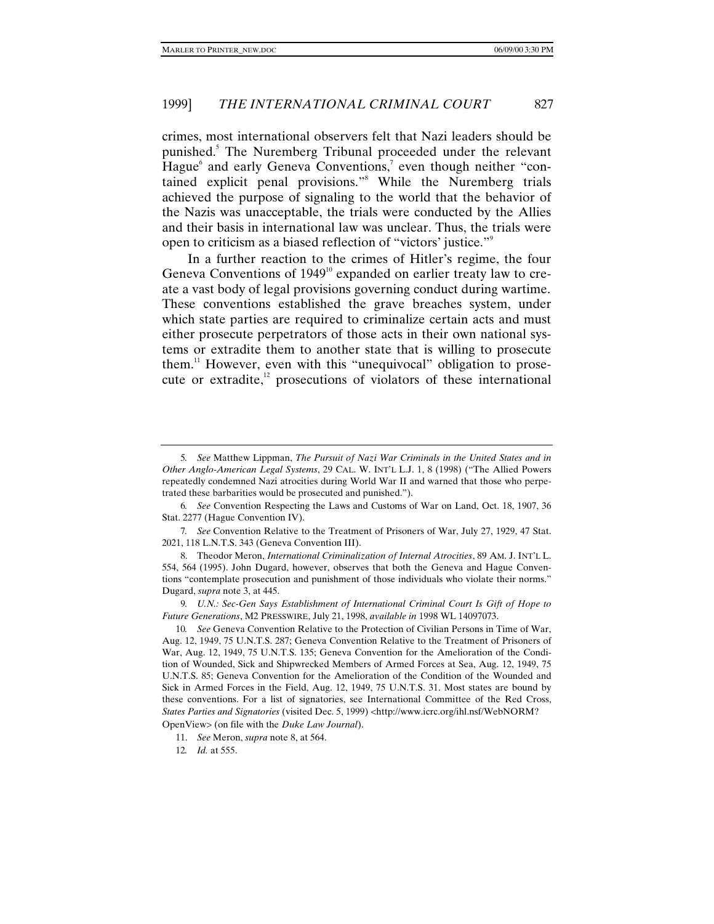crimes, most international observers felt that Nazi leaders should be punished.<sup>5</sup> The Nuremberg Tribunal proceeded under the relevant Hague<sup>6</sup> and early Geneva Conventions,<sup>7</sup> even though neither "contained explicit penal provisions."<sup>8</sup> While the Nuremberg trials achieved the purpose of signaling to the world that the behavior of the Nazis was unacceptable, the trials were conducted by the Allies and their basis in international law was unclear. Thus, the trials were open to criticism as a biased reflection of "victors' justice."<sup>9</sup>

In a further reaction to the crimes of Hitler's regime, the four Geneva Conventions of  $1949<sup>10</sup>$  expanded on earlier treaty law to create a vast body of legal provisions governing conduct during wartime. These conventions established the grave breaches system, under which state parties are required to criminalize certain acts and must either prosecute perpetrators of those acts in their own national systems or extradite them to another state that is willing to prosecute them. $11$  However, even with this "unequivocal" obligation to prosecute or extradite, $^{12}$  prosecutions of violators of these international

6*. See* Convention Respecting the Laws and Customs of War on Land, Oct. 18, 1907, 36 Stat. 2277 (Hague Convention IV).

<sup>5</sup>*. See* Matthew Lippman, *The Pursuit of Nazi War Criminals in the United States and in Other Anglo-American Legal Systems*, 29 CAL. W. INT'L L.J. 1, 8 (1998) ("The Allied Powers repeatedly condemned Nazi atrocities during World War II and warned that those who perpetrated these barbarities would be prosecuted and punished.").

<sup>7</sup>*. See* Convention Relative to the Treatment of Prisoners of War, July 27, 1929, 47 Stat. 2021, 118 L.N.T.S. 343 (Geneva Convention III).

<sup>8.</sup> Theodor Meron, *International Criminalization of Internal Atrocities*, 89 AM. J. INT'L L. 554, 564 (1995). John Dugard, however, observes that both the Geneva and Hague Conventions "contemplate prosecution and punishment of those individuals who violate their norms." Dugard, *supra* note 3, at 445.

<sup>9</sup>*. U.N.: Sec-Gen Says Establishment of International Criminal Court Is Gift of Hope to Future Generations*, M2 PRESSWIRE, July 21, 1998, *available in* 1998 WL 14097073.

<sup>10</sup>*. See* Geneva Convention Relative to the Protection of Civilian Persons in Time of War, Aug. 12, 1949, 75 U.N.T.S. 287; Geneva Convention Relative to the Treatment of Prisoners of War, Aug. 12, 1949, 75 U.N.T.S. 135; Geneva Convention for the Amelioration of the Condition of Wounded, Sick and Shipwrecked Members of Armed Forces at Sea, Aug. 12, 1949, 75 U.N.T.S. 85; Geneva Convention for the Amelioration of the Condition of the Wounded and Sick in Armed Forces in the Field, Aug. 12, 1949, 75 U.N.T.S. 31. Most states are bound by these conventions. For a list of signatories, see International Committee of the Red Cross, *States Parties and Signatories* (visited Dec. 5, 1999) <http://www.icrc.org/ihl.nsf/WebNORM?

OpenView> (on file with the *Duke Law Journal*).

<sup>11.</sup> *See* Meron, *supra* note 8, at 564.

<sup>12</sup>*. Id.* at 555.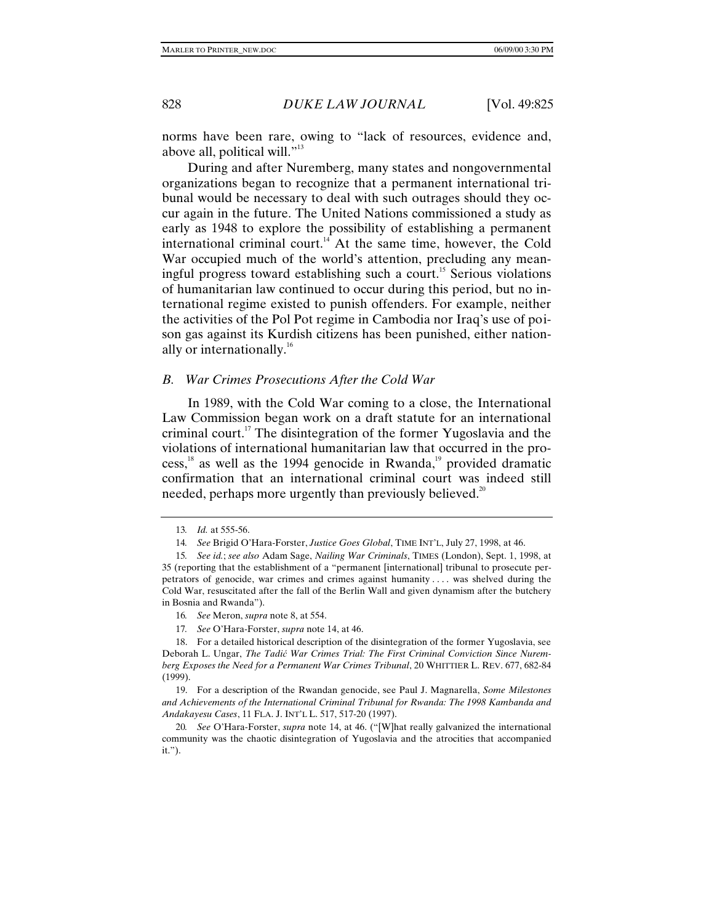norms have been rare, owing to "lack of resources, evidence and, above all, political will."<sup>13</sup>

During and after Nuremberg, many states and nongovernmental organizations began to recognize that a permanent international tribunal would be necessary to deal with such outrages should they occur again in the future. The United Nations commissioned a study as early as 1948 to explore the possibility of establishing a permanent international criminal court.<sup>14</sup> At the same time, however, the Cold War occupied much of the world's attention, precluding any meaningful progress toward establishing such a court.<sup>15</sup> Serious violations of humanitarian law continued to occur during this period, but no international regime existed to punish offenders. For example, neither the activities of the Pol Pot regime in Cambodia nor Iraq's use of poison gas against its Kurdish citizens has been punished, either nationally or internationally.<sup>16</sup>

#### *B. War Crimes Prosecutions After the Cold War*

In 1989, with the Cold War coming to a close, the International Law Commission began work on a draft statute for an international criminal court.<sup>17</sup> The disintegration of the former Yugoslavia and the violations of international humanitarian law that occurred in the process, $^{18}$  as well as the 1994 genocide in Rwanda, $^{19}$  provided dramatic confirmation that an international criminal court was indeed still needed, perhaps more urgently than previously believed.<sup>20</sup>

19. For a description of the Rwandan genocide, see Paul J. Magnarella, *Some Milestones and Achievements of the International Criminal Tribunal for Rwanda: The 1998 Kambanda and Andakayesu Cases*, 11 FLA. J. INT'L L. 517, 517-20 (1997).

20*. See* O'Hara-Forster, *supra* note 14, at 46. ("[W]hat really galvanized the international community was the chaotic disintegration of Yugoslavia and the atrocities that accompanied it.").

<sup>13</sup>*. Id.* at 555-56.

<sup>14</sup>*. See* Brigid O'Hara-Forster, *Justice Goes Global*, TIME INT'L, July 27, 1998, at 46.

<sup>15</sup>*. See id.*; *see also* Adam Sage, *Nailing War Criminals*, TIMES (London), Sept. 1, 1998, at 35 (reporting that the establishment of a "permanent [international] tribunal to prosecute perpetrators of genocide, war crimes and crimes against humanity . . . . was shelved during the Cold War, resuscitated after the fall of the Berlin Wall and given dynamism after the butchery in Bosnia and Rwanda").

<sup>16</sup>*. See* Meron, *supra* note 8, at 554.

<sup>17</sup>*. See* O'Hara-Forster, *supra* note 14, at 46.

<sup>18.</sup> For a detailed historical description of the disintegration of the former Yugoslavia, see Deborah L. Ungar, *The Tadić War Crimes Trial: The First Criminal Conviction Since Nuremberg Exposes the Need for a Permanent War Crimes Tribunal*, 20 WHITTIER L. REV. 677, 682-84 (1999).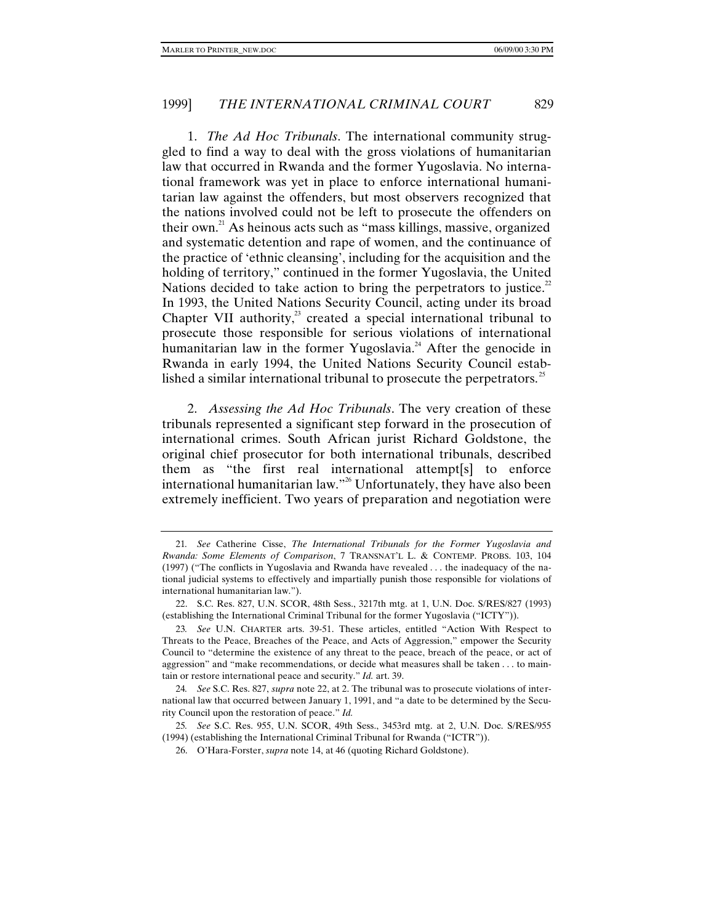1. *The Ad Hoc Tribunals*. The international community struggled to find a way to deal with the gross violations of humanitarian law that occurred in Rwanda and the former Yugoslavia. No international framework was yet in place to enforce international humanitarian law against the offenders, but most observers recognized that the nations involved could not be left to prosecute the offenders on their own. $^{21}$  As heinous acts such as "mass killings, massive, organized and systematic detention and rape of women, and the continuance of the practice of 'ethnic cleansing', including for the acquisition and the holding of territory," continued in the former Yugoslavia, the United Nations decided to take action to bring the perpetrators to justice.<sup>22</sup> In 1993, the United Nations Security Council, acting under its broad Chapter VII authority, $3^3$  created a special international tribunal to prosecute those responsible for serious violations of international humanitarian law in the former Yugoslavia.<sup>24</sup> After the genocide in Rwanda in early 1994, the United Nations Security Council established a similar international tribunal to prosecute the perpetrators. $\mathbb{S}^2$ 

2. *Assessing the Ad Hoc Tribunals*. The very creation of these tribunals represented a significant step forward in the prosecution of international crimes. South African jurist Richard Goldstone, the original chief prosecutor for both international tribunals, described them as "the first real international attempt[s] to enforce international humanitarian law."<sup>26</sup> Unfortunately, they have also been extremely inefficient. Two years of preparation and negotiation were

<sup>21</sup>*. See* Catherine Cisse, *The International Tribunals for the Former Yugoslavia and Rwanda: Some Elements of Comparison*, 7 TRANSNAT'L L. & CONTEMP. PROBS. 103, 104 (1997) ("The conflicts in Yugoslavia and Rwanda have revealed . . . the inadequacy of the national judicial systems to effectively and impartially punish those responsible for violations of international humanitarian law.").

<sup>22.</sup> S.C. Res. 827, U.N. SCOR, 48th Sess., 3217th mtg. at 1, U.N. Doc. S/RES/827 (1993) (establishing the International Criminal Tribunal for the former Yugoslavia ("ICTY")).

<sup>23</sup>*. See* U.N. CHARTER arts. 39-51. These articles, entitled "Action With Respect to Threats to the Peace, Breaches of the Peace, and Acts of Aggression," empower the Security Council to "determine the existence of any threat to the peace, breach of the peace, or act of aggression" and "make recommendations, or decide what measures shall be taken . . . to maintain or restore international peace and security." *Id.* art. 39.

<sup>24</sup>*. See* S.C. Res. 827, *supra* note 22, at 2. The tribunal was to prosecute violations of international law that occurred between January 1, 1991, and "a date to be determined by the Security Council upon the restoration of peace." *Id.*

<sup>25</sup>*. See* S.C. Res. 955, U.N. SCOR, 49th Sess., 3453rd mtg. at 2, U.N. Doc. S/RES/955 (1994) (establishing the International Criminal Tribunal for Rwanda ("ICTR")).

<sup>26.</sup> O'Hara-Forster, *supra* note 14, at 46 (quoting Richard Goldstone).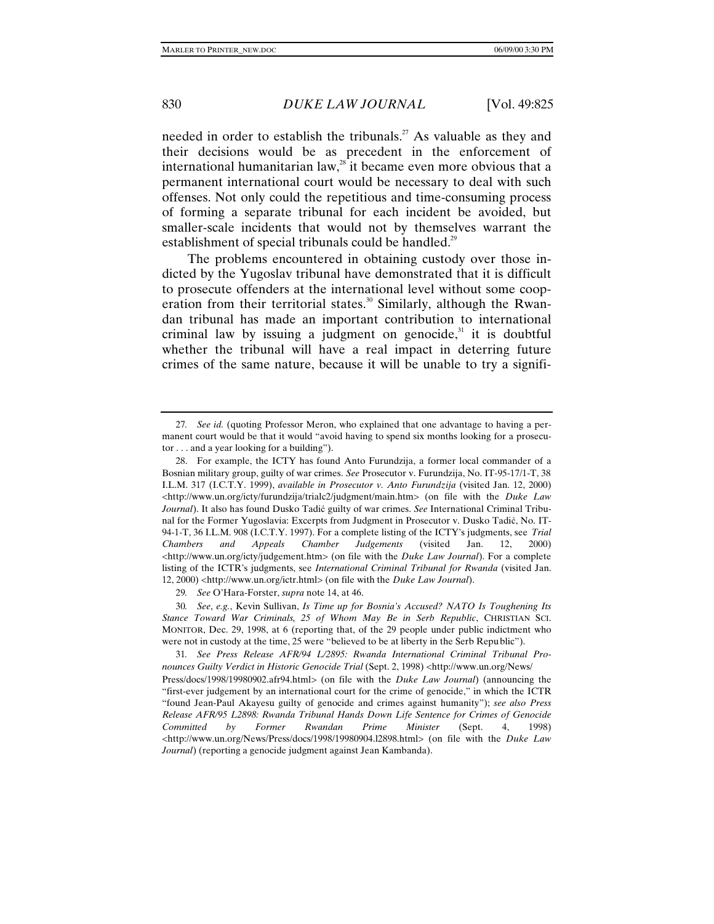needed in order to establish the tribunals.<sup>27</sup> As valuable as they and their decisions would be as precedent in the enforcement of international humanitarian law, $^{28}$  it became even more obvious that a permanent international court would be necessary to deal with such offenses. Not only could the repetitious and time-consuming process of forming a separate tribunal for each incident be avoided, but smaller-scale incidents that would not by themselves warrant the establishment of special tribunals could be handled.<sup>29</sup>

The problems encountered in obtaining custody over those indicted by the Yugoslav tribunal have demonstrated that it is difficult to prosecute offenders at the international level without some cooperation from their territorial states.<sup>30</sup> Similarly, although the Rwandan tribunal has made an important contribution to international criminal law by issuing a judgment on genocide, $31$  it is doubtful whether the tribunal will have a real impact in deterring future crimes of the same nature, because it will be unable to try a signifi-

29*. See* O'Hara-Forster, *supra* note 14, at 46.

30*. See*, *e.g.*, Kevin Sullivan, *Is Time up for Bosnia's Accused? NATO Is Toughening Its Stance Toward War Criminals, 25 of Whom May Be in Serb Republic*, CHRISTIAN SCI. MONITOR, Dec. 29, 1998, at 6 (reporting that, of the 29 people under public indictment who were not in custody at the time, 25 were "believed to be at liberty in the Serb Repu blic").

31*. See Press Release AFR/94 L/2895: Rwanda International Criminal Tribunal Pronounces Guilty Verdict in Historic Genocide Trial* (Sept. 2, 1998) <http://www.un.org/News/ Press/docs/1998/19980902.afr94.html> (on file with the *Duke Law Journal*) (announcing the "first-ever judgement by an international court for the crime of genocide," in which the ICTR "found Jean-Paul Akayesu guilty of genocide and crimes against humanity"); *see also Press Release AFR/95 L2898: Rwanda Tribunal Hands Down Life Sentence for Crimes of Genocide Committed by Former Rwandan Prime Minister* (Sept. 4, 1998) <http://www.un.org/News/Press/docs/1998/19980904.l2898.html> (on file with the *Duke Law Journal*) (reporting a genocide judgment against Jean Kambanda).

<sup>27</sup>*. See id.* (quoting Professor Meron, who explained that one advantage to having a permanent court would be that it would "avoid having to spend six months looking for a prosecutor . . . and a year looking for a building").

<sup>28.</sup> For example, the ICTY has found Anto Furundzija, a former local commander of a Bosnian military group, guilty of war crimes. *See* Prosecutor v. Furundzija, No. IT-95-17/1-T, 38 I.L.M. 317 (I.C.T.Y. 1999), *available in Prosecutor v. Anto Furundzija* (visited Jan. 12, 2000) <http://www.un.org/icty/furundzija/trialc2/judgment/main.htm> (on file with the *Duke Law Journal*). It also has found Dusko Tadić guilty of war crimes. *See* International Criminal Tribunal for the Former Yugoslavia: Excerpts from Judgment in Prosecutor v. Dusko Tadić, No. IT-94-1-T, 36 I.L.M. 908 (I.C.T.Y. 1997). For a complete listing of the ICTY's judgments, see *Trial Chambers and Appeals Chamber Judgements* (visited Jan. 12, 2000) <http://www.un.org/icty/judgement.htm> (on file with the *Duke Law Journal*). For a complete listing of the ICTR's judgments, see *International Criminal Tribunal for Rwanda* (visited Jan. 12, 2000) <http://www.un.org/ictr.html> (on file with the *Duke Law Journal*).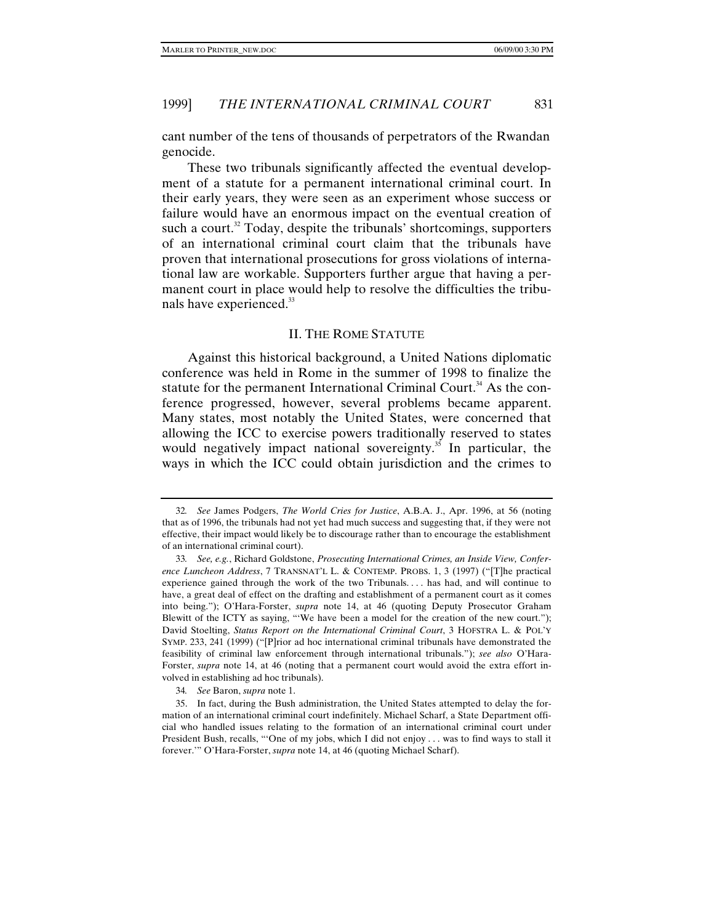cant number of the tens of thousands of perpetrators of the Rwandan genocide.

These two tribunals significantly affected the eventual development of a statute for a permanent international criminal court. In their early years, they were seen as an experiment whose success or failure would have an enormous impact on the eventual creation of such a court.<sup>32</sup> Today, despite the tribunals' shortcomings, supporters of an international criminal court claim that the tribunals have proven that international prosecutions for gross violations of international law are workable. Supporters further argue that having a permanent court in place would help to resolve the difficulties the tribunals have experienced.<sup>33</sup>

#### II. THE ROME STATUTE

Against this historical background, a United Nations diplomatic conference was held in Rome in the summer of 1998 to finalize the statute for the permanent International Criminal Court.<sup>34</sup> As the conference progressed, however, several problems became apparent. Many states, most notably the United States, were concerned that allowing the ICC to exercise powers traditionally reserved to states would negatively impact national sovereignty.<sup>35</sup> In particular, the ways in which the ICC could obtain jurisdiction and the crimes to

34*. See* Baron, *supra* note 1.

<sup>32</sup>*. See* James Podgers, *The World Cries for Justice*, A.B.A. J., Apr. 1996, at 56 (noting that as of 1996, the tribunals had not yet had much success and suggesting that, if they were not effective, their impact would likely be to discourage rather than to encourage the establishment of an international criminal court).

<sup>33</sup>*. See, e.g.*, Richard Goldstone, *Prosecuting International Crimes, an Inside View, Conference Luncheon Address*, 7 TRANSNAT'L L. & CONTEMP. PROBS. 1, 3 (1997) ("[T]he practical experience gained through the work of the two Tribunals. . . . has had, and will continue to have, a great deal of effect on the drafting and establishment of a permanent court as it comes into being."); O'Hara-Forster, *supra* note 14, at 46 (quoting Deputy Prosecutor Graham Blewitt of the ICTY as saying, "'We have been a model for the creation of the new court."); David Stoelting, *Status Report on the International Criminal Court*, 3 HOFSTRA L. & POL'Y SYMP. 233, 241 (1999) ("[P]rior ad hoc international criminal tribunals have demonstrated the feasibility of criminal law enforcement through international tribunals."); *see also* O'Hara-Forster, *supra* note 14, at 46 (noting that a permanent court would avoid the extra effort involved in establishing ad hoc tribunals).

<sup>35.</sup> In fact, during the Bush administration, the United States attempted to delay the formation of an international criminal court indefinitely. Michael Scharf, a State Department official who handled issues relating to the formation of an international criminal court under President Bush, recalls, "'One of my jobs, which I did not enjoy . . . was to find ways to stall it forever.'" O'Hara-Forster, *supra* note 14, at 46 (quoting Michael Scharf).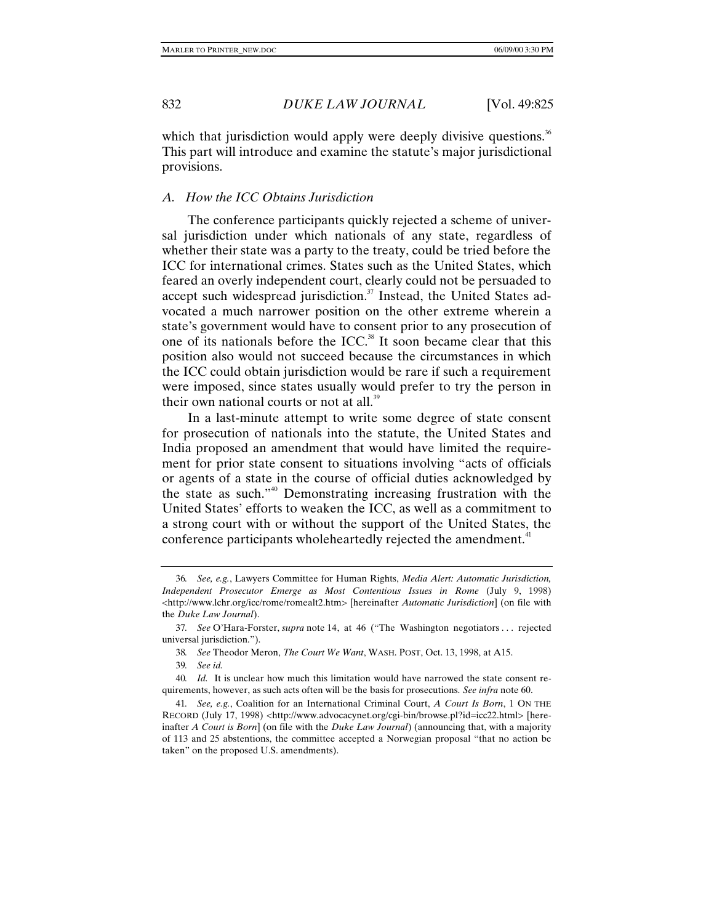which that jurisdiction would apply were deeply divisive questions. $36$ This part will introduce and examine the statute's major jurisdictional provisions.

#### *A. How the ICC Obtains Jurisdiction*

The conference participants quickly rejected a scheme of universal jurisdiction under which nationals of any state, regardless of whether their state was a party to the treaty, could be tried before the ICC for international crimes. States such as the United States, which feared an overly independent court, clearly could not be persuaded to accept such widespread jurisdiction.<sup>37</sup> Instead, the United States advocated a much narrower position on the other extreme wherein a state's government would have to consent prior to any prosecution of one of its nationals before the ICC.<sup>38</sup> It soon became clear that this position also would not succeed because the circumstances in which the ICC could obtain jurisdiction would be rare if such a requirement were imposed, since states usually would prefer to try the person in their own national courts or not at all.<sup>39</sup>

In a last-minute attempt to write some degree of state consent for prosecution of nationals into the statute, the United States and India proposed an amendment that would have limited the requirement for prior state consent to situations involving "acts of officials or agents of a state in the course of official duties acknowledged by the state as such."40 Demonstrating increasing frustration with the United States' efforts to weaken the ICC, as well as a commitment to a strong court with or without the support of the United States, the conference participants wholeheartedly rejected the amendment.<sup>41</sup>

<sup>36</sup>*. See, e.g.*, Lawyers Committee for Human Rights, *Media Alert: Automatic Jurisdiction, Independent Prosecutor Emerge as Most Contentious Issues in Rome* (July 9, 1998) <http://www.lchr.org/icc/rome/romealt2.htm> [hereinafter *Automatic Jurisdiction*] (on file with the *Duke Law Journal*).

<sup>37</sup>*. See* O'Hara-Forster, *supra* note 14, at 46 ("The Washington negotiators . . . rejected universal jurisdiction.").

<sup>38</sup>*. See* Theodor Meron, *The Court We Want*, WASH. POST, Oct. 13, 1998, at A15.

<sup>39</sup>*. See id.*

<sup>40</sup>*. Id.* It is unclear how much this limitation would have narrowed the state consent requirements, however, as such acts often will be the basis for prosecutions. *See infra* note 60.

<sup>41</sup>*. See, e.g.*, Coalition for an International Criminal Court, *A Court Is Born*, 1 ON THE RECORD (July 17, 1998) <http://www.advocacynet.org/cgi-bin/browse.pl?id=icc22.html> [hereinafter *A Court is Born*] (on file with the *Duke Law Journal*) (announcing that, with a majority of 113 and 25 abstentions, the committee accepted a Norwegian proposal "that no action be taken" on the proposed U.S. amendments).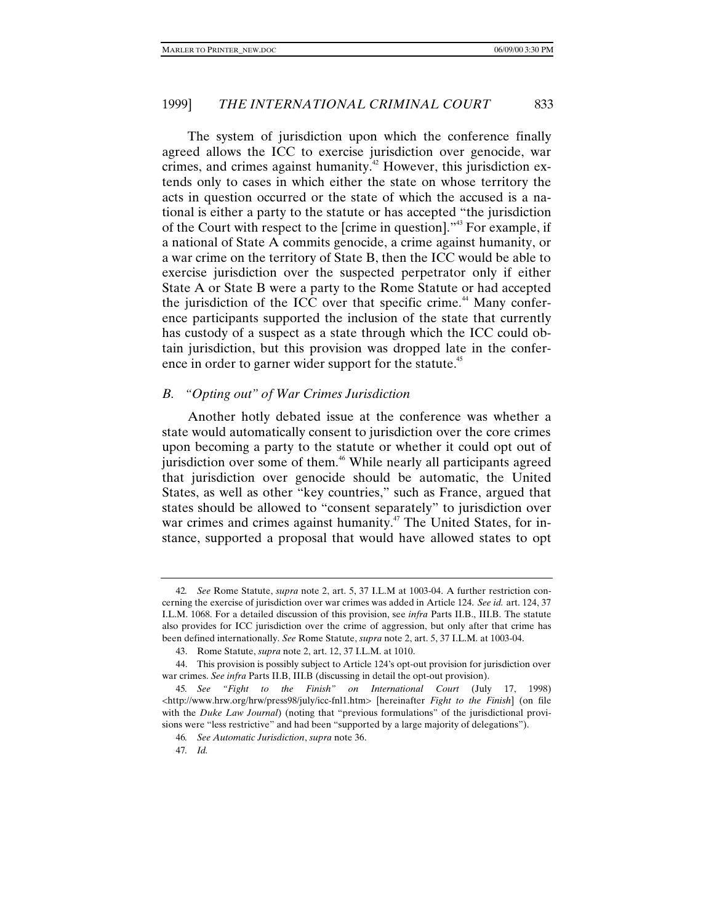The system of jurisdiction upon which the conference finally agreed allows the ICC to exercise jurisdiction over genocide, war crimes, and crimes against humanity.<sup>42</sup> However, this jurisdiction extends only to cases in which either the state on whose territory the acts in question occurred or the state of which the accused is a national is either a party to the statute or has accepted "the jurisdiction of the Court with respect to the [crime in question]."43 For example, if a national of State A commits genocide, a crime against humanity, or a war crime on the territory of State B, then the ICC would be able to exercise jurisdiction over the suspected perpetrator only if either State A or State B were a party to the Rome Statute or had accepted the jurisdiction of the ICC over that specific crime.<sup>44</sup> Many conference participants supported the inclusion of the state that currently has custody of a suspect as a state through which the ICC could obtain jurisdiction, but this provision was dropped late in the conference in order to garner wider support for the statute.<sup>45</sup>

#### *B. "Opting out" of War Crimes Jurisdiction*

Another hotly debated issue at the conference was whether a state would automatically consent to jurisdiction over the core crimes upon becoming a party to the statute or whether it could opt out of jurisdiction over some of them.<sup>46</sup> While nearly all participants agreed that jurisdiction over genocide should be automatic, the United States, as well as other "key countries," such as France, argued that states should be allowed to "consent separately" to jurisdiction over war crimes and crimes against humanity.<sup>47</sup> The United States, for instance, supported a proposal that would have allowed states to opt

<sup>42</sup>*. See* Rome Statute, *supra* note 2, art. 5, 37 I.L.M at 1003-04. A further restriction concerning the exercise of jurisdiction over war crimes was added in Article 124. *See id.* art. 124, 37 I.L.M. 1068. For a detailed discussion of this provision, see *infra* Parts II.B., III.B. The statute also provides for ICC jurisdiction over the crime of aggression, but only after that crime has been defined internationally. *See* Rome Statute, *supra* note 2, art. 5, 37 I.L.M. at 1003-04.

<sup>43.</sup> Rome Statute, *supra* note 2, art. 12, 37 I.L.M. at 1010.

<sup>44.</sup> This provision is possibly subject to Article 124's opt-out provision for jurisdiction over war crimes. *See infra* Parts II.B, III.B (discussing in detail the opt-out provision).

<sup>45</sup>*. See "Fight to the Finish" on International Court* (July 17, 1998) <http://www.hrw.org/hrw/press98/july/icc-fnl1.htm> [hereinafter *Fight to the Finish*] (on file with the *Duke Law Journal*) (noting that "previous formulations" of the jurisdictional provisions were "less restrictive" and had been "supported by a large majority of delegations").

<sup>46</sup>*. See Automatic Jurisdiction*, *supra* note 36.

<sup>47</sup>*. Id.*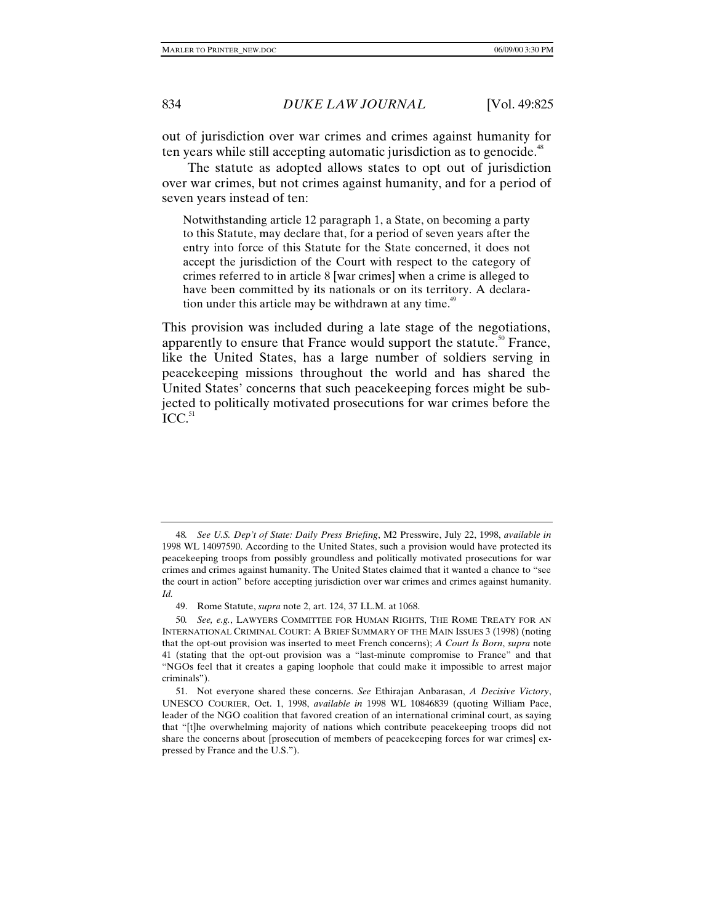out of jurisdiction over war crimes and crimes against humanity for ten years while still accepting automatic jurisdiction as to genocide.<sup>48</sup>

The statute as adopted allows states to opt out of jurisdiction over war crimes, but not crimes against humanity, and for a period of seven years instead of ten:

Notwithstanding article 12 paragraph 1, a State, on becoming a party to this Statute, may declare that, for a period of seven years after the entry into force of this Statute for the State concerned, it does not accept the jurisdiction of the Court with respect to the category of crimes referred to in article 8 [war crimes] when a crime is alleged to have been committed by its nationals or on its territory. A declaration under this article may be withdrawn at any time.<sup>49</sup>

This provision was included during a late stage of the negotiations, apparently to ensure that France would support the statute.<sup>50</sup> France, like the United States, has a large number of soldiers serving in peacekeeping missions throughout the world and has shared the United States' concerns that such peacekeeping forces might be subjected to politically motivated prosecutions for war crimes before the  $ICC.$ <sup>51</sup>

<sup>48</sup>*. See U.S. Dep't of State: Daily Press Briefing*, M2 Presswire, July 22, 1998, *available in* 1998 WL 14097590. According to the United States, such a provision would have protected its peacekeeping troops from possibly groundless and politically motivated prosecutions for war crimes and crimes against humanity. The United States claimed that it wanted a chance to "see the court in action" before accepting jurisdiction over war crimes and crimes against humanity. *Id.*

<sup>49.</sup> Rome Statute, *supra* note 2, art. 124, 37 I.L.M. at 1068.

<sup>50</sup>*. See, e.g.*, LAWYERS COMMITTEE FOR HUMAN RIGHTS, THE ROME TREATY FOR AN INTERNATIONAL CRIMINAL COURT: A BRIEF SUMMARY OF THE MAIN ISSUES 3 (1998) (noting that the opt-out provision was inserted to meet French concerns); *A Court Is Born*, *supra* note 41 (stating that the opt-out provision was a "last-minute compromise to France" and that "NGOs feel that it creates a gaping loophole that could make it impossible to arrest major criminals").

<sup>51.</sup> Not everyone shared these concerns. *See* Ethirajan Anbarasan, *A Decisive Victory*, UNESCO COURIER, Oct. 1, 1998, *available in* 1998 WL 10846839 (quoting William Pace, leader of the NGO coalition that favored creation of an international criminal court, as saying that "[t]he overwhelming majority of nations which contribute peacekeeping troops did not share the concerns about [prosecution of members of peacekeeping forces for war crimes] expressed by France and the U.S.").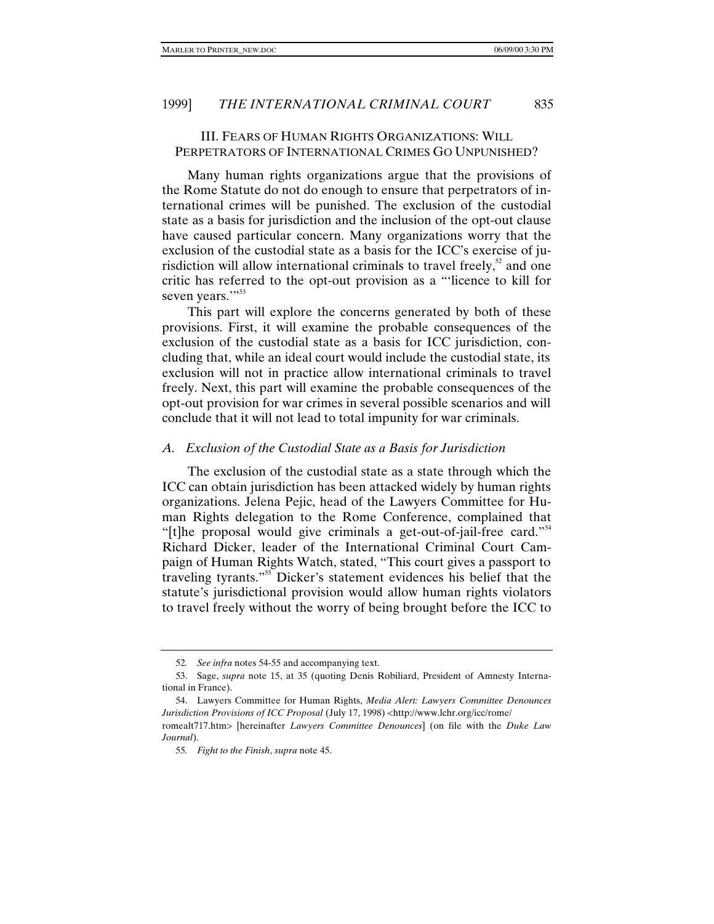# III. FEARS OF HUMAN RIGHTS ORGANIZATIONS: WILL PERPETRATORS OF INTERNATIONAL CRIMES GO UNPUNISHED?

Many human rights organizations argue that the provisions of the Rome Statute do not do enough to ensure that perpetrators of international crimes will be punished. The exclusion of the custodial state as a basis for jurisdiction and the inclusion of the opt-out clause have caused particular concern. Many organizations worry that the exclusion of the custodial state as a basis for the ICC's exercise of jurisdiction will allow international criminals to travel freely, $52$  and one critic has referred to the opt-out provision as a "'licence to kill for seven years.""<sup>53</sup>

This part will explore the concerns generated by both of these provisions. First, it will examine the probable consequences of the exclusion of the custodial state as a basis for ICC jurisdiction, concluding that, while an ideal court would include the custodial state, its exclusion will not in practice allow international criminals to travel freely. Next, this part will examine the probable consequences of the opt-out provision for war crimes in several possible scenarios and will conclude that it will not lead to total impunity for war criminals.

#### *A. Exclusion of the Custodial State as a Basis for Jurisdiction*

The exclusion of the custodial state as a state through which the ICC can obtain jurisdiction has been attacked widely by human rights organizations. Jelena Pejic, head of the Lawyers Committee for Human Rights delegation to the Rome Conference, complained that "[t]he proposal would give criminals a get-out-of-jail-free card." Richard Dicker, leader of the International Criminal Court Campaign of Human Rights Watch, stated, "This court gives a passport to traveling tyrants."55 Dicker's statement evidences his belief that the statute's jurisdictional provision would allow human rights violators to travel freely without the worry of being brought before the ICC to

<sup>52</sup>*. See infra* notes 54-55 and accompanying text.

<sup>53.</sup> Sage, *supra* note 15, at 35 (quoting Denis Robiliard, President of Amnesty International in France).

<sup>54.</sup> Lawyers Committee for Human Rights, *Media Alert: Lawyers Committee Denounces Jurisdiction Provisions of ICC Proposal* (July 17, 1998) <http://www.lchr.org/icc/rome/

romealt717.htm> [hereinafter *Lawyers Committee Denounces*] (on file with the *Duke Law Journal*).

<sup>55</sup>*. Fight to the Finish*, *supra* note 45.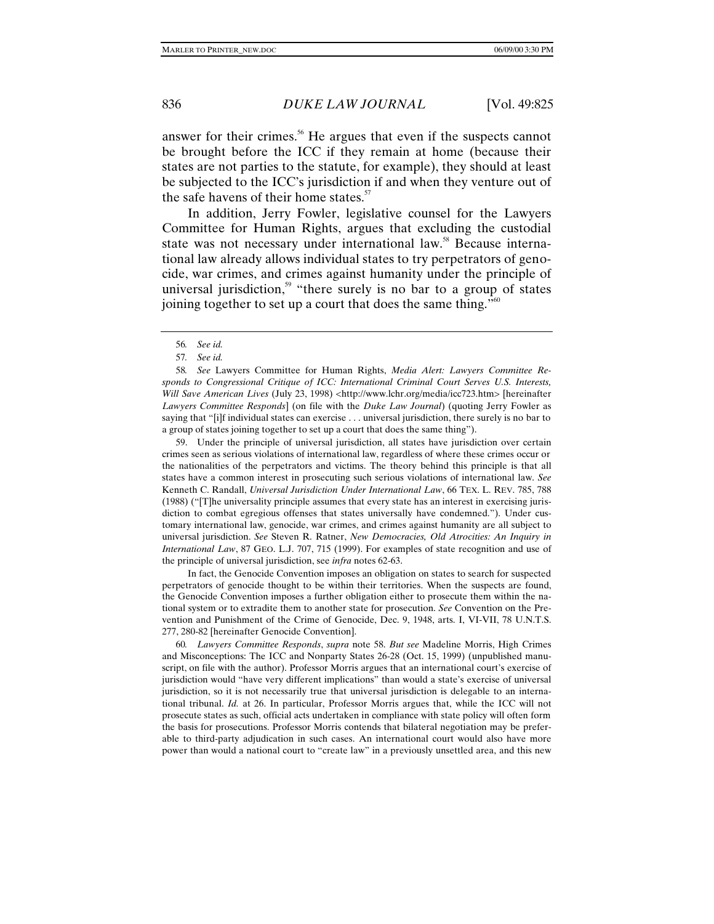answer for their crimes.<sup>56</sup> He argues that even if the suspects cannot be brought before the ICC if they remain at home (because their states are not parties to the statute, for example), they should at least be subjected to the ICC's jurisdiction if and when they venture out of the safe havens of their home states.<sup>57</sup>

In addition, Jerry Fowler, legislative counsel for the Lawyers Committee for Human Rights, argues that excluding the custodial state was not necessary under international law.<sup>58</sup> Because international law already allows individual states to try perpetrators of genocide, war crimes, and crimes against humanity under the principle of universal jurisdiction,<sup>59</sup> "there surely is no bar to a group of states joining together to set up a court that does the same thing."<sup>60</sup>

58*. See* Lawyers Committee for Human Rights, *Media Alert: Lawyers Committee Responds to Congressional Critique of ICC: International Criminal Court Serves U.S. Interests, Will Save American Lives* (July 23, 1998) <http://www.lchr.org/media/icc723.htm> [hereinafter *Lawyers Committee Responds*] (on file with the *Duke Law Journal*) (quoting Jerry Fowler as saying that "[i]f individual states can exercise . . . universal jurisdiction, there surely is no bar to a group of states joining together to set up a court that does the same thing").

59. Under the principle of universal jurisdiction, all states have jurisdiction over certain crimes seen as serious violations of international law, regardless of where these crimes occur or the nationalities of the perpetrators and victims. The theory behind this principle is that all states have a common interest in prosecuting such serious violations of international law. *See* Kenneth C. Randall, *Universal Jurisdiction Under International Law*, 66 TEX. L. REV. 785, 788 (1988) ("[T]he universality principle assumes that every state has an interest in exercising jurisdiction to combat egregious offenses that states universally have condemned."). Under customary international law, genocide, war crimes, and crimes against humanity are all subject to universal jurisdiction. *See* Steven R. Ratner, *New Democracies, Old Atrocities: An Inquiry in International Law*, 87 GEO. L.J. 707, 715 (1999). For examples of state recognition and use of the principle of universal jurisdiction, see *infra* notes 62-63.

In fact, the Genocide Convention imposes an obligation on states to search for suspected perpetrators of genocide thought to be within their territories. When the suspects are found, the Genocide Convention imposes a further obligation either to prosecute them within the national system or to extradite them to another state for prosecution. *See* Convention on the Prevention and Punishment of the Crime of Genocide, Dec. 9, 1948, arts. I, VI-VII, 78 U.N.T.S. 277, 280-82 [hereinafter Genocide Convention].

60*. Lawyers Committee Responds*, *supra* note 58. *But see* Madeline Morris, High Crimes and Misconceptions: The ICC and Nonparty States 26-28 (Oct. 15, 1999) (unpublished manuscript, on file with the author). Professor Morris argues that an international court's exercise of jurisdiction would "have very different implications" than would a state's exercise of universal jurisdiction, so it is not necessarily true that universal jurisdiction is delegable to an international tribunal. *Id.* at 26. In particular, Professor Morris argues that, while the ICC will not prosecute states as such, official acts undertaken in compliance with state policy will often form the basis for prosecutions. Professor Morris contends that bilateral negotiation may be preferable to third-party adjudication in such cases. An international court would also have more power than would a national court to "create law" in a previously unsettled area, and this new

<sup>56</sup>*. See id.*

<sup>57</sup>*. See id.*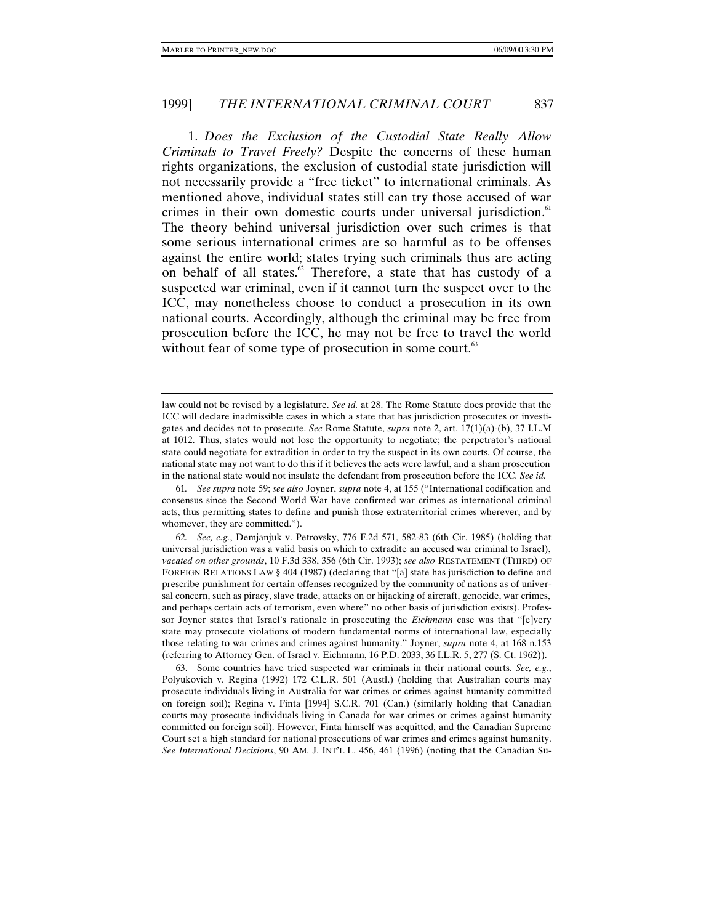1. *Does the Exclusion of the Custodial State Really Allow Criminals to Travel Freely?* Despite the concerns of these human rights organizations, the exclusion of custodial state jurisdiction will not necessarily provide a "free ticket" to international criminals. As mentioned above, individual states still can try those accused of war crimes in their own domestic courts under universal jurisdiction.<sup>61</sup> The theory behind universal jurisdiction over such crimes is that some serious international crimes are so harmful as to be offenses against the entire world; states trying such criminals thus are acting on behalf of all states. $62$  Therefore, a state that has custody of a suspected war criminal, even if it cannot turn the suspect over to the ICC, may nonetheless choose to conduct a prosecution in its own national courts. Accordingly, although the criminal may be free from prosecution before the ICC, he may not be free to travel the world without fear of some type of prosecution in some court. $63$ 

63. Some countries have tried suspected war criminals in their national courts. *See, e.g.*, Polyukovich v. Regina (1992) 172 C.L.R. 501 (Austl.) (holding that Australian courts may prosecute individuals living in Australia for war crimes or crimes against humanity committed on foreign soil); Regina v. Finta [1994] S.C.R. 701 (Can.) (similarly holding that Canadian courts may prosecute individuals living in Canada for war crimes or crimes against humanity committed on foreign soil). However, Finta himself was acquitted, and the Canadian Supreme Court set a high standard for national prosecutions of war crimes and crimes against humanity. *See International Decisions*, 90 AM. J. INT'L L. 456, 461 (1996) (noting that the Canadian Su-

law could not be revised by a legislature. *See id.* at 28. The Rome Statute does provide that the ICC will declare inadmissible cases in which a state that has jurisdiction prosecutes or investigates and decides not to prosecute. *See* Rome Statute, *supra* note 2, art. 17(1)(a)-(b), 37 I.L.M at 1012. Thus, states would not lose the opportunity to negotiate; the perpetrator's national state could negotiate for extradition in order to try the suspect in its own courts. Of course, the national state may not want to do this if it believes the acts were lawful, and a sham prosecution in the national state would not insulate the defendant from prosecution before the ICC. *See id.*

<sup>61</sup>*. See supra* note 59; *see also* Joyner, *supra* note 4, at 155 ("International codification and consensus since the Second World War have confirmed war crimes as international criminal acts, thus permitting states to define and punish those extraterritorial crimes wherever, and by whomever, they are committed.").

<sup>62</sup>*. See, e.g.*, Demjanjuk v. Petrovsky, 776 F.2d 571, 582-83 (6th Cir. 1985) (holding that universal jurisdiction was a valid basis on which to extradite an accused war criminal to Israel), *vacated on other grounds*, 10 F.3d 338, 356 (6th Cir. 1993); *see also* RESTATEMENT (THIRD) OF FOREIGN RELATIONS LAW § 404 (1987) (declaring that "[a] state has jurisdiction to define and prescribe punishment for certain offenses recognized by the community of nations as of universal concern, such as piracy, slave trade, attacks on or hijacking of aircraft, genocide, war crimes, and perhaps certain acts of terrorism, even where" no other basis of jurisdiction exists). Professor Joyner states that Israel's rationale in prosecuting the *Eichmann* case was that "[e]very state may prosecute violations of modern fundamental norms of international law, especially those relating to war crimes and crimes against humanity." Joyner, *supra* note 4, at 168 n.153 (referring to Attorney Gen. of Israel v. Eichmann, 16 P.D. 2033, 36 I.L.R. 5, 277 (S. Ct. 1962)).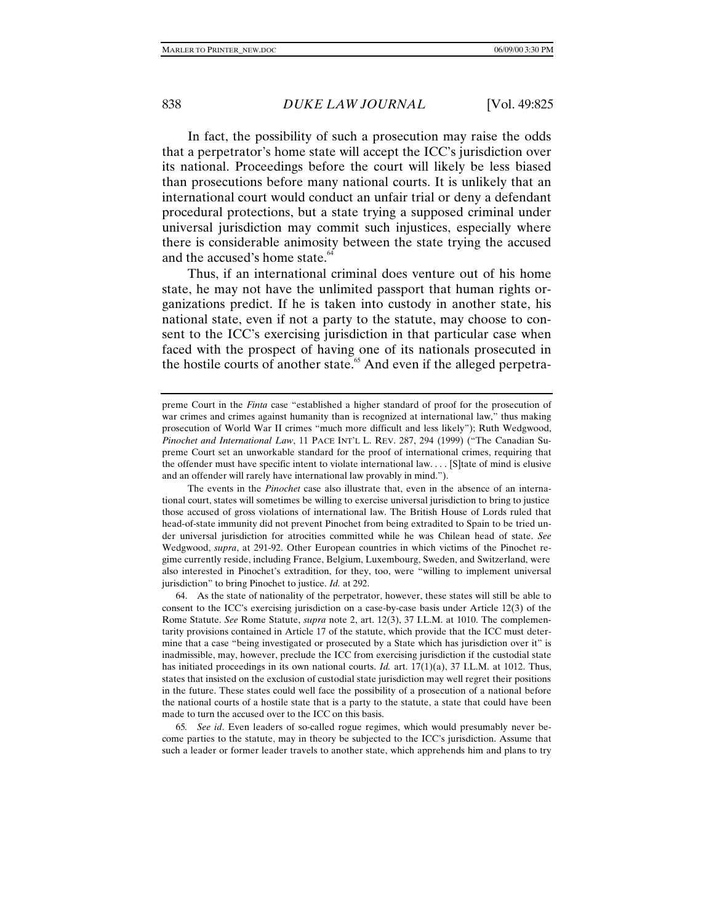In fact, the possibility of such a prosecution may raise the odds that a perpetrator's home state will accept the ICC's jurisdiction over its national. Proceedings before the court will likely be less biased than prosecutions before many national courts. It is unlikely that an international court would conduct an unfair trial or deny a defendant procedural protections, but a state trying a supposed criminal under universal jurisdiction may commit such injustices, especially where there is considerable animosity between the state trying the accused and the accused's home state.<sup>64</sup>

Thus, if an international criminal does venture out of his home state, he may not have the unlimited passport that human rights organizations predict. If he is taken into custody in another state, his national state, even if not a party to the statute, may choose to consent to the ICC's exercising jurisdiction in that particular case when faced with the prospect of having one of its nationals prosecuted in the hostile courts of another state.<sup>65</sup> And even if the alleged perpetra-

64. As the state of nationality of the perpetrator, however, these states will still be able to consent to the ICC's exercising jurisdiction on a case-by-case basis under Article 12(3) of the Rome Statute. *See* Rome Statute, *supra* note 2, art. 12(3), 37 I.L.M. at 1010. The complementarity provisions contained in Article 17 of the statute, which provide that the ICC must determine that a case "being investigated or prosecuted by a State which has jurisdiction over it" is inadmissible, may, however, preclude the ICC from exercising jurisdiction if the custodial state has initiated proceedings in its own national courts. *Id.* art. 17(1)(a), 37 I.L.M. at 1012. Thus, states that insisted on the exclusion of custodial state jurisdiction may well regret their positions in the future. These states could well face the possibility of a prosecution of a national before the national courts of a hostile state that is a party to the statute, a state that could have been made to turn the accused over to the ICC on this basis.

65*. See id*. Even leaders of so-called rogue regimes, which would presumably never become parties to the statute, may in theory be subjected to the ICC's jurisdiction. Assume that such a leader or former leader travels to another state, which apprehends him and plans to try

preme Court in the *Finta* case "established a higher standard of proof for the prosecution of war crimes and crimes against humanity than is recognized at international law," thus making prosecution of World War II crimes "much more difficult and less likely"); Ruth Wedgwood, *Pinochet and International Law*, 11 PACE INT'L L. REV. 287, 294 (1999) ("The Canadian Supreme Court set an unworkable standard for the proof of international crimes, requiring that the offender must have specific intent to violate international law.... [S]tate of mind is elusive and an offender will rarely have international law provably in mind.").

The events in the *Pinochet* case also illustrate that, even in the absence of an international court, states will sometimes be willing to exercise universal jurisdiction to bring to justice those accused of gross violations of international law. The British House of Lords ruled that head-of-state immunity did not prevent Pinochet from being extradited to Spain to be tried under universal jurisdiction for atrocities committed while he was Chilean head of state. *See* Wedgwood, *supra*, at 291-92. Other European countries in which victims of the Pinochet regime currently reside, including France, Belgium, Luxembourg, Sweden, and Switzerland, were also interested in Pinochet's extradition, for they, too, were "willing to implement universal jurisdiction" to bring Pinochet to justice. *Id.* at 292.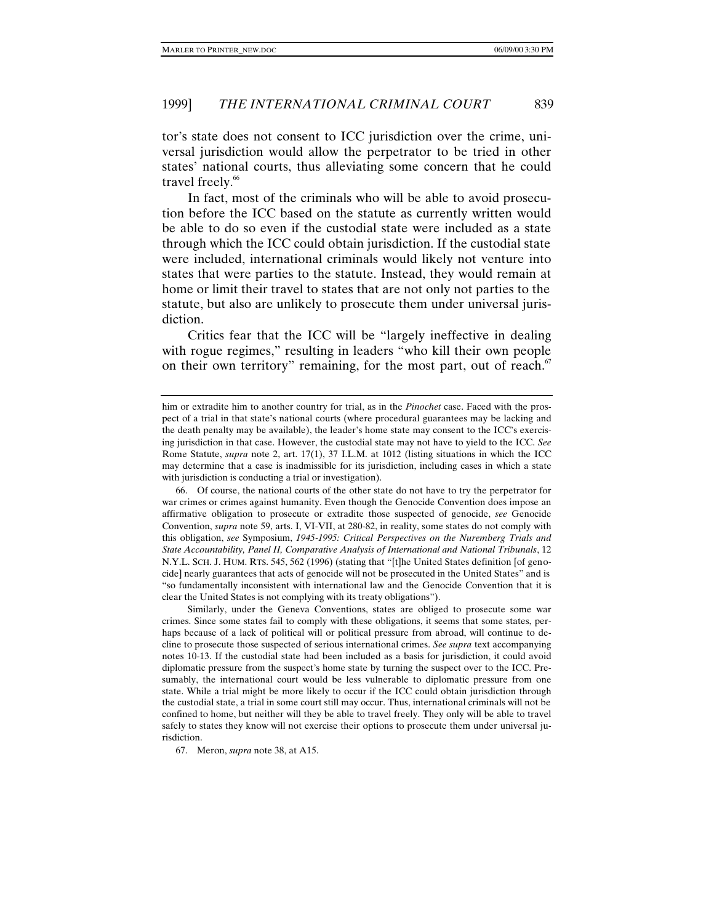tor's state does not consent to ICC jurisdiction over the crime, universal jurisdiction would allow the perpetrator to be tried in other states' national courts, thus alleviating some concern that he could travel freely.<sup>66</sup>

In fact, most of the criminals who will be able to avoid prosecution before the ICC based on the statute as currently written would be able to do so even if the custodial state were included as a state through which the ICC could obtain jurisdiction. If the custodial state were included, international criminals would likely not venture into states that were parties to the statute. Instead, they would remain at home or limit their travel to states that are not only not parties to the statute, but also are unlikely to prosecute them under universal jurisdiction.

Critics fear that the ICC will be "largely ineffective in dealing with rogue regimes," resulting in leaders "who kill their own people on their own territory" remaining, for the most part, out of reach.<sup>67</sup>

66. Of course, the national courts of the other state do not have to try the perpetrator for war crimes or crimes against humanity. Even though the Genocide Convention does impose an affirmative obligation to prosecute or extradite those suspected of genocide, *see* Genocide Convention, *supra* note 59, arts. I, VI-VII, at 280-82, in reality, some states do not comply with this obligation, *see* Symposium, *1945-1995: Critical Perspectives on the Nuremberg Trials and State Accountability, Panel II, Comparative Analysis of International and National Tribunals*, 12 N.Y.L. SCH. J. HUM. RTS. 545, 562 (1996) (stating that "[t]he United States definition [of genocide] nearly guarantees that acts of genocide will not be prosecuted in the United States" and is "so fundamentally inconsistent with international law and the Genocide Convention that it is clear the United States is not complying with its treaty obligations").

Similarly, under the Geneva Conventions, states are obliged to prosecute some war crimes. Since some states fail to comply with these obligations, it seems that some states, perhaps because of a lack of political will or political pressure from abroad, will continue to decline to prosecute those suspected of serious international crimes. *See supra* text accompanying notes 10-13. If the custodial state had been included as a basis for jurisdiction, it could avoid diplomatic pressure from the suspect's home state by turning the suspect over to the ICC. Presumably, the international court would be less vulnerable to diplomatic pressure from one state. While a trial might be more likely to occur if the ICC could obtain jurisdiction through the custodial state, a trial in some court still may occur. Thus, international criminals will not be confined to home, but neither will they be able to travel freely. They only will be able to travel safely to states they know will not exercise their options to prosecute them under universal jurisdiction.

67. Meron, *supra* note 38, at A15.

him or extradite him to another country for trial, as in the *Pinochet* case. Faced with the prospect of a trial in that state's national courts (where procedural guarantees may be lacking and the death penalty may be available), the leader's home state may consent to the ICC's exercising jurisdiction in that case. However, the custodial state may not have to yield to the ICC. *See* Rome Statute, *supra* note 2, art. 17(1), 37 I.L.M. at 1012 (listing situations in which the ICC may determine that a case is inadmissible for its jurisdiction, including cases in which a state with jurisdiction is conducting a trial or investigation).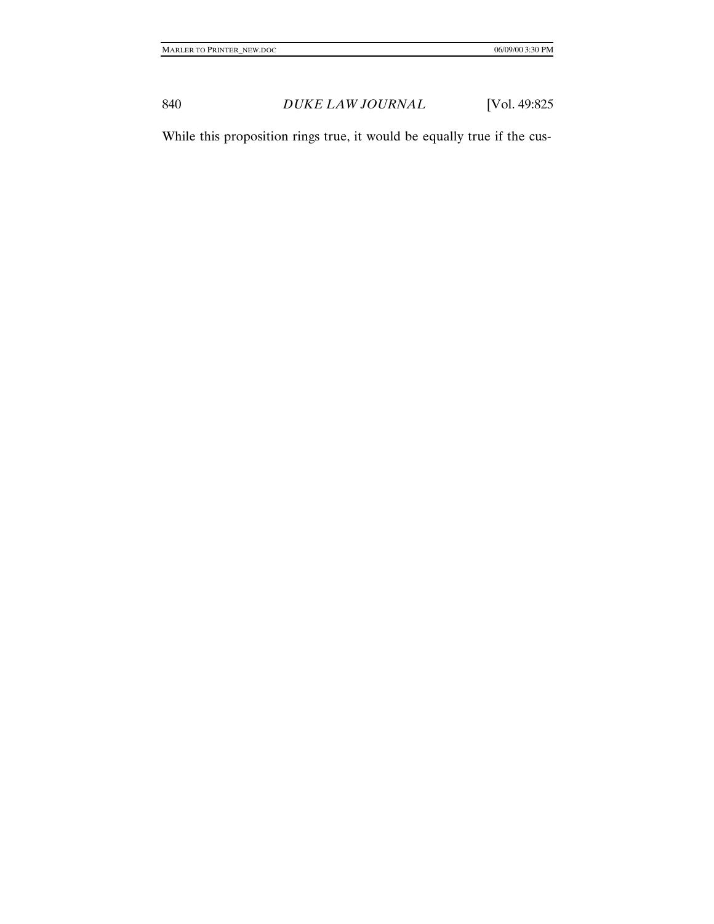While this proposition rings true, it would be equally true if the cus-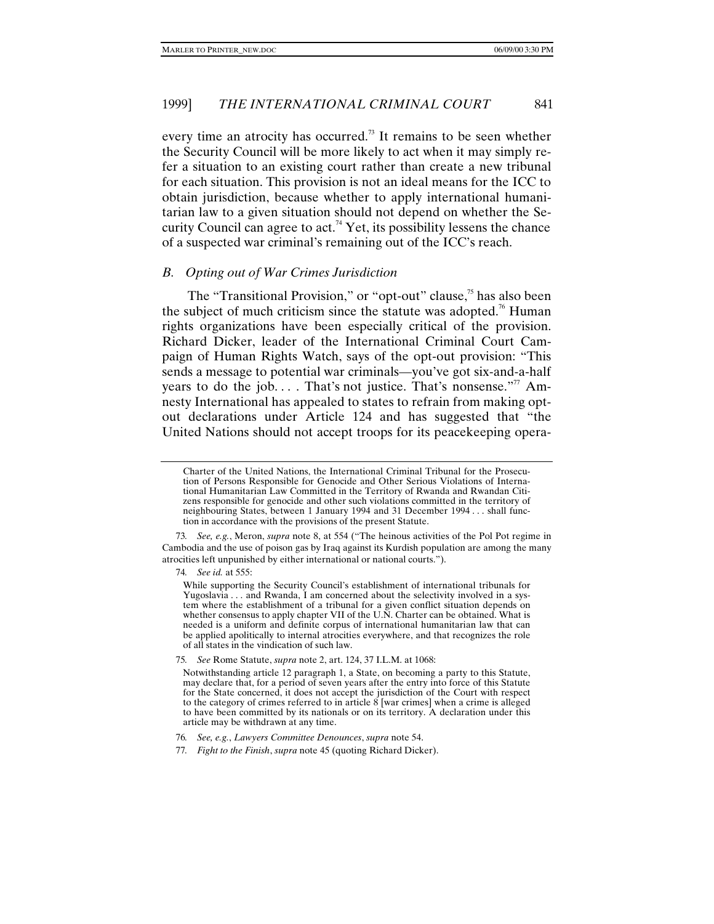every time an atrocity has occurred.<sup>73</sup> It remains to be seen whether the Security Council will be more likely to act when it may simply refer a situation to an existing court rather than create a new tribunal for each situation. This provision is not an ideal means for the ICC to obtain jurisdiction, because whether to apply international humanitarian law to a given situation should not depend on whether the Security Council can agree to act.<sup>74</sup> Yet, its possibility lessens the chance of a suspected war criminal's remaining out of the ICC's reach.

### *B. Opting out of War Crimes Jurisdiction*

The "Transitional Provision," or "opt-out" clause, $\frac{75}{15}$  has also been the subject of much criticism since the statute was adopted.<sup>76</sup> Human rights organizations have been especially critical of the provision. Richard Dicker, leader of the International Criminal Court Campaign of Human Rights Watch, says of the opt-out provision: "This sends a message to potential war criminals—you've got six-and-a-half years to do the job.... That's not justice. That's nonsense."<sup>77</sup> Amnesty International has appealed to states to refrain from making optout declarations under Article 124 and has suggested that "the United Nations should not accept troops for its peacekeeping opera-

73*. See, e.g.*, Meron, *supra* note 8, at 554 ("The heinous activities of the Pol Pot regime in Cambodia and the use of poison gas by Iraq against its Kurdish population are among the many atrocities left unpunished by either international or national courts.").

74*. See id.* at 555:

Charter of the United Nations, the International Criminal Tribunal for the Prosecution of Persons Responsible for Genocide and Other Serious Violations of International Humanitarian Law Committed in the Territory of Rwanda and Rwandan Citizens responsible for genocide and other such violations committed in the territory of neighbouring States, between 1 January 1994 and 31 December 1994 . . . shall function in accordance with the provisions of the present Statute.

While supporting the Security Council's establishment of international tribunals for Yugoslavia . . . and Rwanda, I am concerned about the selectivity involved in a system where the establishment of a tribunal for a given conflict situation depends on whether consensus to apply chapter VII of the U.N. Charter can be obtained. What is needed is a uniform and definite corpus of international humanitarian law that can be applied apolitically to internal atrocities everywhere, and that recognizes the role of all states in the vindication of such law.

<sup>75</sup>*. See* Rome Statute, *supra* note 2, art. 124, 37 I.L.M. at 1068:

Notwithstanding article 12 paragraph 1, a State, on becoming a party to this Statute, may declare that, for a period of seven years after the entry into force of this Statute for the State concerned, it does not accept the jurisdiction of the Court with respect to the category of crimes referred to in article 8 [war crimes] when a crime is alleged to have been committed by its nationals or on its territory. A declaration under this article may be withdrawn at any time.

<sup>76</sup>*. See, e.g.*, *Lawyers Committee Denounces*, *supra* note 54.

<sup>77</sup>*. Fight to the Finish*, *supra* note 45 (quoting Richard Dicker).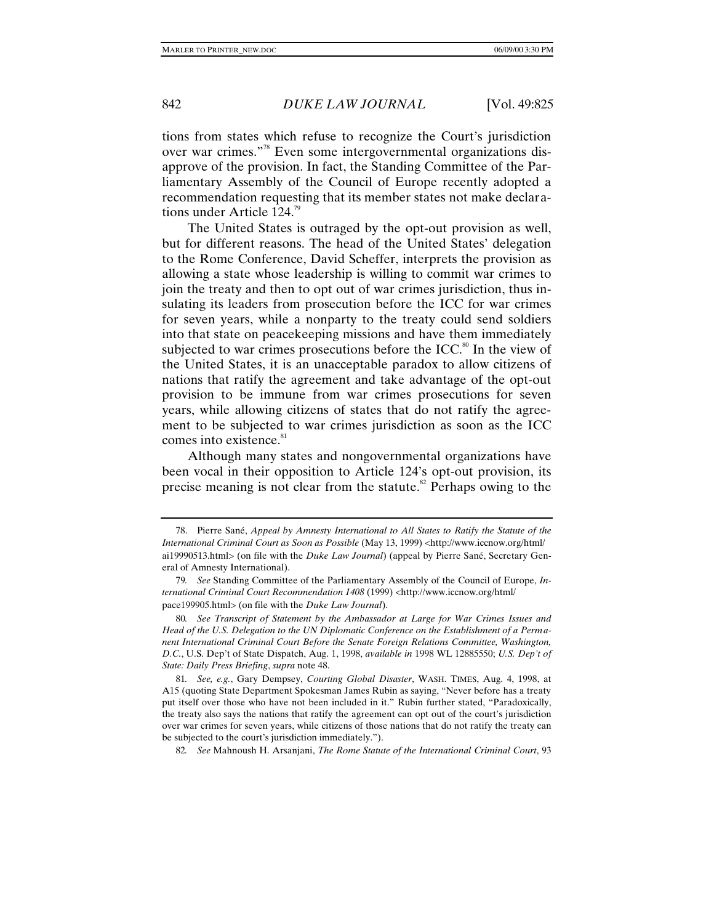tions from states which refuse to recognize the Court's jurisdiction over war crimes."78 Even some intergovernmental organizations disapprove of the provision. In fact, the Standing Committee of the Parliamentary Assembly of the Council of Europe recently adopted a recommendation requesting that its member states not make declarations under Article 124.<sup>79</sup>

The United States is outraged by the opt-out provision as well, but for different reasons. The head of the United States' delegation to the Rome Conference, David Scheffer, interprets the provision as allowing a state whose leadership is willing to commit war crimes to join the treaty and then to opt out of war crimes jurisdiction, thus insulating its leaders from prosecution before the ICC for war crimes for seven years, while a nonparty to the treaty could send soldiers into that state on peacekeeping missions and have them immediately subjected to war crimes prosecutions before the ICC.<sup>80</sup> In the view of the United States, it is an unacceptable paradox to allow citizens of nations that ratify the agreement and take advantage of the opt-out provision to be immune from war crimes prosecutions for seven years, while allowing citizens of states that do not ratify the agreement to be subjected to war crimes jurisdiction as soon as the ICC comes into existence.<sup>81</sup>

Although many states and nongovernmental organizations have been vocal in their opposition to Article 124's opt-out provision, its precise meaning is not clear from the statute.<sup>82</sup> Perhaps owing to the

82*. See* Mahnoush H. Arsanjani, *The Rome Statute of the International Criminal Court*, 93

<sup>78.</sup> Pierre Sané, *Appeal by Amnesty International to All States to Ratify the Statute of the International Criminal Court as Soon as Possible* (May 13, 1999) <http://www.iccnow.org/html/ ai19990513.html> (on file with the *Duke Law Journal*) (appeal by Pierre Sané, Secretary General of Amnesty International).

<sup>79</sup>*. See* Standing Committee of the Parliamentary Assembly of the Council of Europe, *International Criminal Court Recommendation 1408* (1999) <http://www.iccnow.org/html/ pace199905.html> (on file with the *Duke Law Journal*).

<sup>80</sup>*. See Transcript of Statement by the Ambassador at Large for War Crimes Issues and Head of the U.S. Delegation to the UN Diplomatic Conference on the Establishment of a Permanent International Criminal Court Before the Senate Foreign Relations Committee, Washington, D.C.*, U.S. Dep't of State Dispatch, Aug. 1, 1998, *available in* 1998 WL 12885550; *U.S. Dep't of State: Daily Press Briefing*, *supra* note 48.

<sup>81</sup>*. See, e.g.*, Gary Dempsey, *Courting Global Disaster*, WASH. TIMES, Aug. 4, 1998, at A15 (quoting State Department Spokesman James Rubin as saying, "Never before has a treaty put itself over those who have not been included in it." Rubin further stated, "Paradoxically, the treaty also says the nations that ratify the agreement can opt out of the court's jurisdiction over war crimes for seven years, while citizens of those nations that do not ratify the treaty can be subjected to the court's jurisdiction immediately.").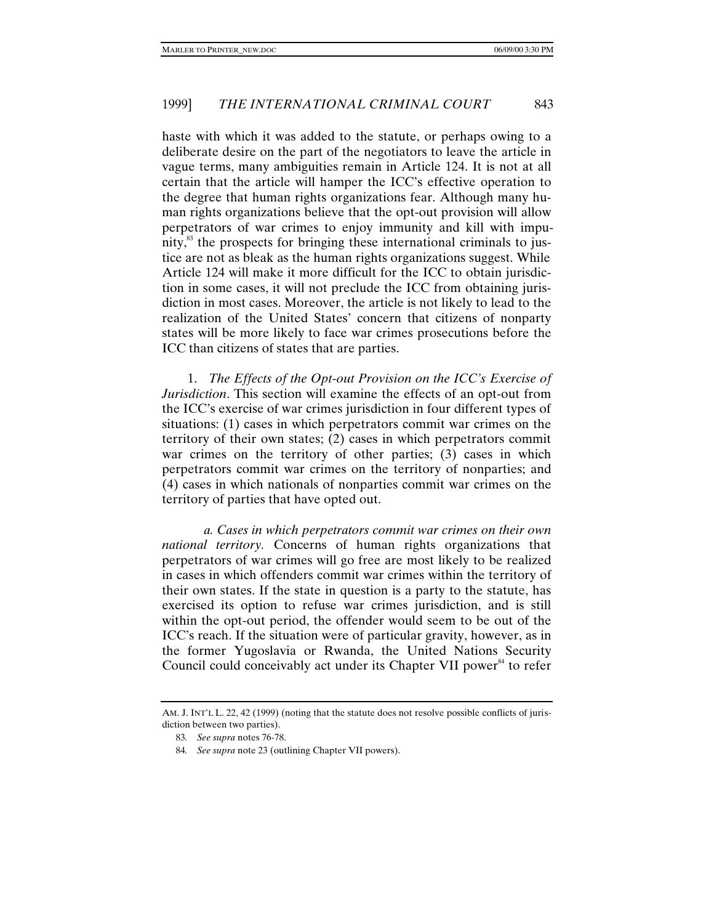haste with which it was added to the statute, or perhaps owing to a deliberate desire on the part of the negotiators to leave the article in vague terms, many ambiguities remain in Article 124. It is not at all certain that the article will hamper the ICC's effective operation to the degree that human rights organizations fear. Although many human rights organizations believe that the opt-out provision will allow perpetrators of war crimes to enjoy immunity and kill with impunity, $^{83}$  the prospects for bringing these international criminals to justice are not as bleak as the human rights organizations suggest. While Article 124 will make it more difficult for the ICC to obtain jurisdiction in some cases, it will not preclude the ICC from obtaining jurisdiction in most cases. Moreover, the article is not likely to lead to the realization of the United States' concern that citizens of nonparty states will be more likely to face war crimes prosecutions before the ICC than citizens of states that are parties.

1. *The Effects of the Opt-out Provision on the ICC's Exercise of Jurisdiction*. This section will examine the effects of an opt-out from the ICC's exercise of war crimes jurisdiction in four different types of situations: (1) cases in which perpetrators commit war crimes on the territory of their own states; (2) cases in which perpetrators commit war crimes on the territory of other parties; (3) cases in which perpetrators commit war crimes on the territory of nonparties; and (4) cases in which nationals of nonparties commit war crimes on the territory of parties that have opted out.

*a. Cases in which perpetrators commit war crimes on their own national territory.* Concerns of human rights organizations that perpetrators of war crimes will go free are most likely to be realized in cases in which offenders commit war crimes within the territory of their own states. If the state in question is a party to the statute, has exercised its option to refuse war crimes jurisdiction, and is still within the opt-out period, the offender would seem to be out of the ICC's reach. If the situation were of particular gravity, however, as in the former Yugoslavia or Rwanda, the United Nations Security Council could conceivably act under its Chapter VII power<sup>84</sup> to refer

AM. J. INT'L L. 22, 42 (1999) (noting that the statute does not resolve possible conflicts of jurisdiction between two parties).

<sup>83</sup>*. See supra* notes 76-78.

<sup>84</sup>*. See supra* note 23 (outlining Chapter VII powers).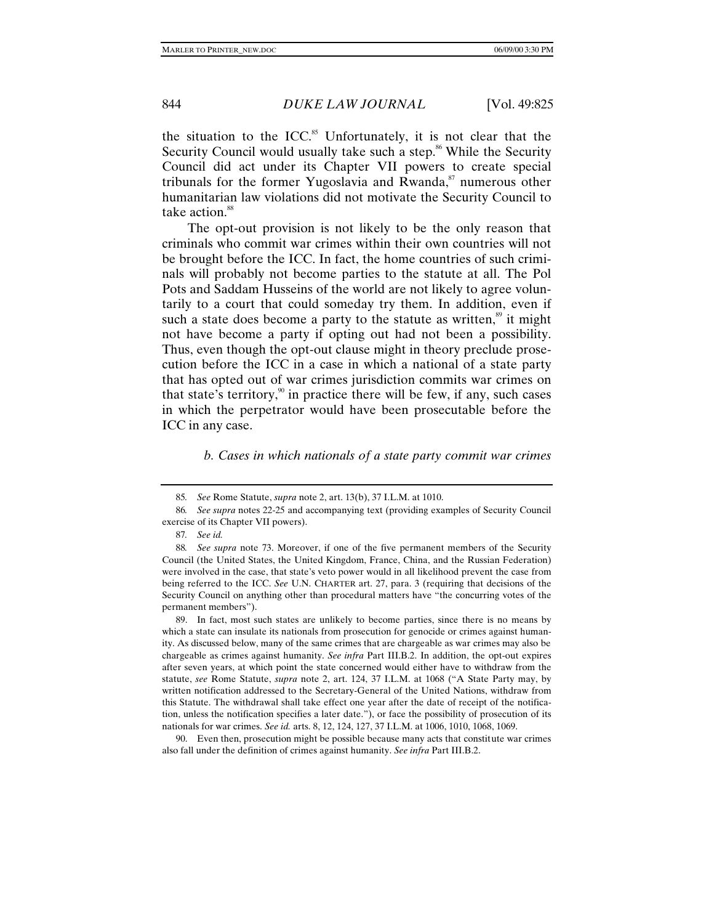the situation to the ICC. $85$  Unfortunately, it is not clear that the Security Council would usually take such a step.<sup>86</sup> While the Security Council did act under its Chapter VII powers to create special tribunals for the former Yugoslavia and Rwanda, $\delta$ <sup>7</sup> numerous other humanitarian law violations did not motivate the Security Council to take action.<sup>88</sup>

The opt-out provision is not likely to be the only reason that criminals who commit war crimes within their own countries will not be brought before the ICC. In fact, the home countries of such criminals will probably not become parties to the statute at all. The Pol Pots and Saddam Husseins of the world are not likely to agree voluntarily to a court that could someday try them. In addition, even if such a state does become a party to the statute as written, $\frac{8}{3}$  it might not have become a party if opting out had not been a possibility. Thus, even though the opt-out clause might in theory preclude prosecution before the ICC in a case in which a national of a state party that has opted out of war crimes jurisdiction commits war crimes on that state's territory,<sup>90</sup> in practice there will be few, if any, such cases in which the perpetrator would have been prosecutable before the ICC in any case.

## *b. Cases in which nationals of a state party commit war crimes*

90. Even then, prosecution might be possible because many acts that constitute war crimes also fall under the definition of crimes against humanity. *See infra* Part III.B.2.

<sup>85</sup>*. See* Rome Statute, *supra* note 2, art. 13(b), 37 I.L.M. at 1010.

<sup>86</sup>*. See supra* notes 22-25 and accompanying text (providing examples of Security Council exercise of its Chapter VII powers).

<sup>87</sup>*. See id.*

<sup>88</sup>*. See supra* note 73. Moreover, if one of the five permanent members of the Security Council (the United States, the United Kingdom, France, China, and the Russian Federation) were involved in the case, that state's veto power would in all likelihood prevent the case from being referred to the ICC. *See* U.N. CHARTER art. 27, para. 3 (requiring that decisions of the Security Council on anything other than procedural matters have "the concurring votes of the permanent members").

<sup>89.</sup> In fact, most such states are unlikely to become parties, since there is no means by which a state can insulate its nationals from prosecution for genocide or crimes against humanity. As discussed below, many of the same crimes that are chargeable as war crimes may also be chargeable as crimes against humanity. *See infra* Part III.B.2. In addition, the opt-out expires after seven years, at which point the state concerned would either have to withdraw from the statute, *see* Rome Statute, *supra* note 2, art. 124, 37 I.L.M. at 1068 ("A State Party may, by written notification addressed to the Secretary-General of the United Nations, withdraw from this Statute. The withdrawal shall take effect one year after the date of receipt of the notification, unless the notification specifies a later date."), or face the possibility of prosecution of its nationals for war crimes. *See id.* arts. 8, 12, 124, 127, 37 I.L.M. at 1006, 1010, 1068, 1069.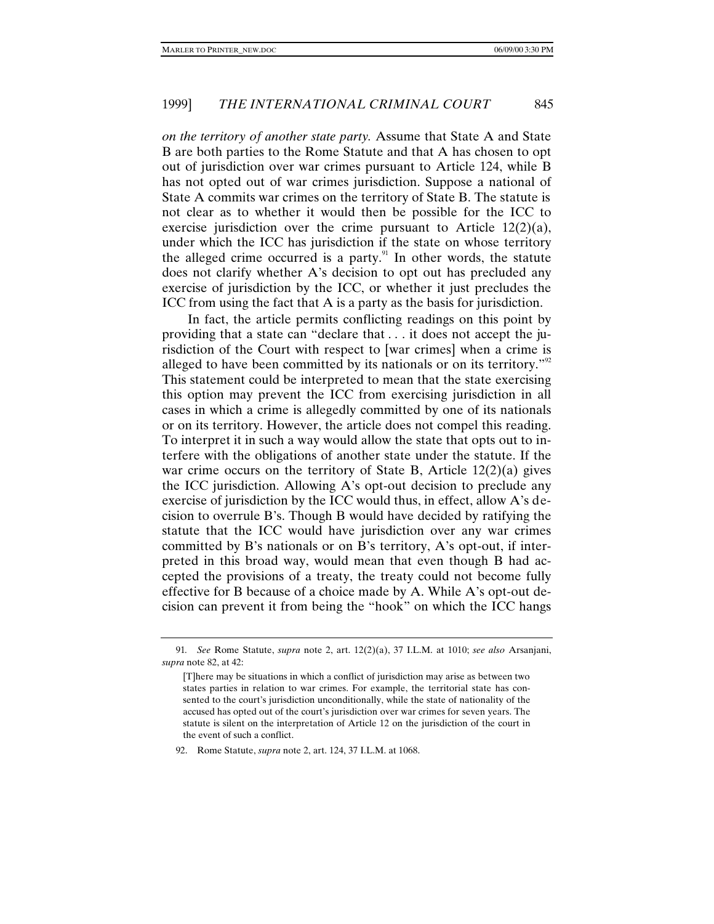*on the territory of another state party.* Assume that State A and State B are both parties to the Rome Statute and that A has chosen to opt out of jurisdiction over war crimes pursuant to Article 124, while B has not opted out of war crimes jurisdiction. Suppose a national of State A commits war crimes on the territory of State B. The statute is not clear as to whether it would then be possible for the ICC to exercise jurisdiction over the crime pursuant to Article  $12(2)(a)$ , under which the ICC has jurisdiction if the state on whose territory the alleged crime occurred is a party. $91$  In other words, the statute does not clarify whether A's decision to opt out has precluded any exercise of jurisdiction by the ICC, or whether it just precludes the ICC from using the fact that A is a party as the basis for jurisdiction.

In fact, the article permits conflicting readings on this point by providing that a state can "declare that . . . it does not accept the jurisdiction of the Court with respect to [war crimes] when a crime is alleged to have been committed by its nationals or on its territory."<sup>92</sup> This statement could be interpreted to mean that the state exercising this option may prevent the ICC from exercising jurisdiction in all cases in which a crime is allegedly committed by one of its nationals or on its territory. However, the article does not compel this reading. To interpret it in such a way would allow the state that opts out to interfere with the obligations of another state under the statute. If the war crime occurs on the territory of State B, Article  $12(2)(a)$  gives the ICC jurisdiction. Allowing A's opt-out decision to preclude any exercise of jurisdiction by the ICC would thus, in effect, allow A's decision to overrule B's. Though B would have decided by ratifying the statute that the ICC would have jurisdiction over any war crimes committed by B's nationals or on B's territory, A's opt-out, if interpreted in this broad way, would mean that even though B had accepted the provisions of a treaty, the treaty could not become fully effective for B because of a choice made by A. While A's opt-out decision can prevent it from being the "hook" on which the ICC hangs

92. Rome Statute, *supra* note 2, art. 124, 37 I.L.M. at 1068.

<sup>91</sup>*. See* Rome Statute, *supra* note 2, art. 12(2)(a), 37 I.L.M. at 1010; *see also* Arsanjani, *supra* note 82, at 42:

<sup>[</sup>T]here may be situations in which a conflict of jurisdiction may arise as between two states parties in relation to war crimes. For example, the territorial state has consented to the court's jurisdiction unconditionally, while the state of nationality of the accused has opted out of the court's jurisdiction over war crimes for seven years. The statute is silent on the interpretation of Article 12 on the jurisdiction of the court in the event of such a conflict.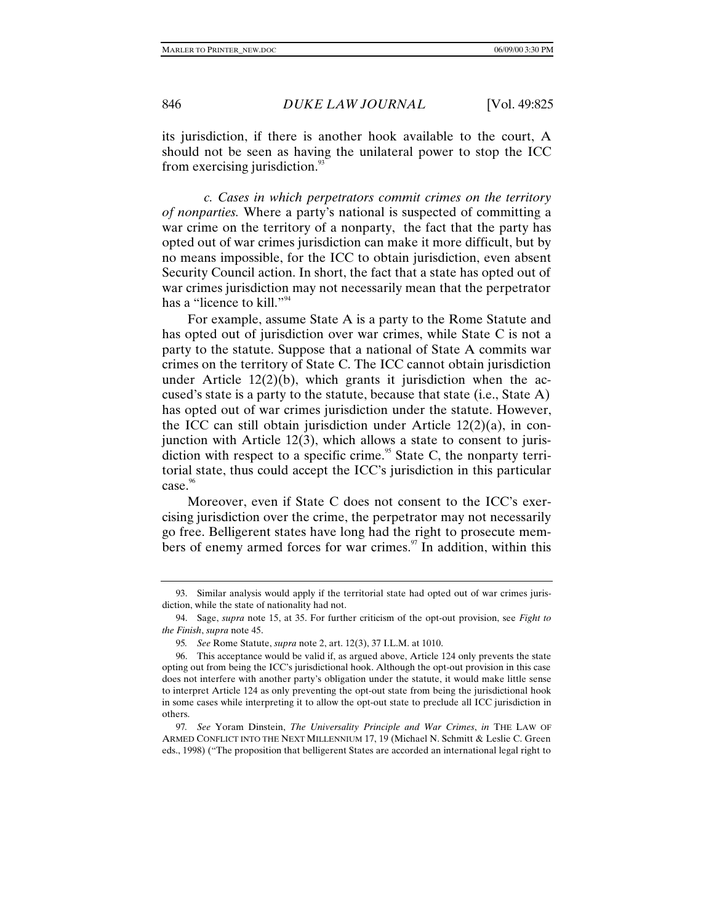its jurisdiction, if there is another hook available to the court, A should not be seen as having the unilateral power to stop the ICC from exercising jurisdiction. $\frac{93}{2}$ 

*c. Cases in which perpetrators commit crimes on the territory of nonparties.* Where a party's national is suspected of committing a war crime on the territory of a nonparty, the fact that the party has opted out of war crimes jurisdiction can make it more difficult, but by no means impossible, for the ICC to obtain jurisdiction, even absent Security Council action. In short, the fact that a state has opted out of war crimes jurisdiction may not necessarily mean that the perpetrator has a "licence to kill."<sup>94</sup>

For example, assume State A is a party to the Rome Statute and has opted out of jurisdiction over war crimes, while State C is not a party to the statute. Suppose that a national of State A commits war crimes on the territory of State C. The ICC cannot obtain jurisdiction under Article  $12(2)(b)$ , which grants it jurisdiction when the accused's state is a party to the statute, because that state (i.e., State A) has opted out of war crimes jurisdiction under the statute. However, the ICC can still obtain jurisdiction under Article  $12(2)(a)$ , in conjunction with Article 12(3), which allows a state to consent to jurisdiction with respect to a specific crime.<sup>95</sup> State C, the nonparty territorial state, thus could accept the ICC's jurisdiction in this particular case.<sup>96</sup>

Moreover, even if State C does not consent to the ICC's exercising jurisdiction over the crime, the perpetrator may not necessarily go free. Belligerent states have long had the right to prosecute members of enemy armed forces for war crimes. $\frac{97}{10}$  In addition, within this

<sup>93.</sup> Similar analysis would apply if the territorial state had opted out of war crimes jurisdiction, while the state of nationality had not.

<sup>94.</sup> Sage, *supra* note 15, at 35. For further criticism of the opt-out provision, see *Fight to the Finish*, *supra* note 45.

<sup>95</sup>*. See* Rome Statute, *supra* note 2, art. 12(3), 37 I.L.M. at 1010.

<sup>96.</sup> This acceptance would be valid if, as argued above, Article 124 only prevents the state opting out from being the ICC's jurisdictional hook. Although the opt-out provision in this case does not interfere with another party's obligation under the statute, it would make little sense to interpret Article 124 as only preventing the opt-out state from being the jurisdictional hook in some cases while interpreting it to allow the opt-out state to preclude all ICC jurisdiction in others.

<sup>97</sup>*. See* Yoram Dinstein, *The Universality Principle and War Crimes*, *in* THE LAW OF ARMED CONFLICT INTO THE NEXT MILLENNIUM 17, 19 (Michael N. Schmitt & Leslie C. Green eds., 1998) ("The proposition that belligerent States are accorded an international legal right to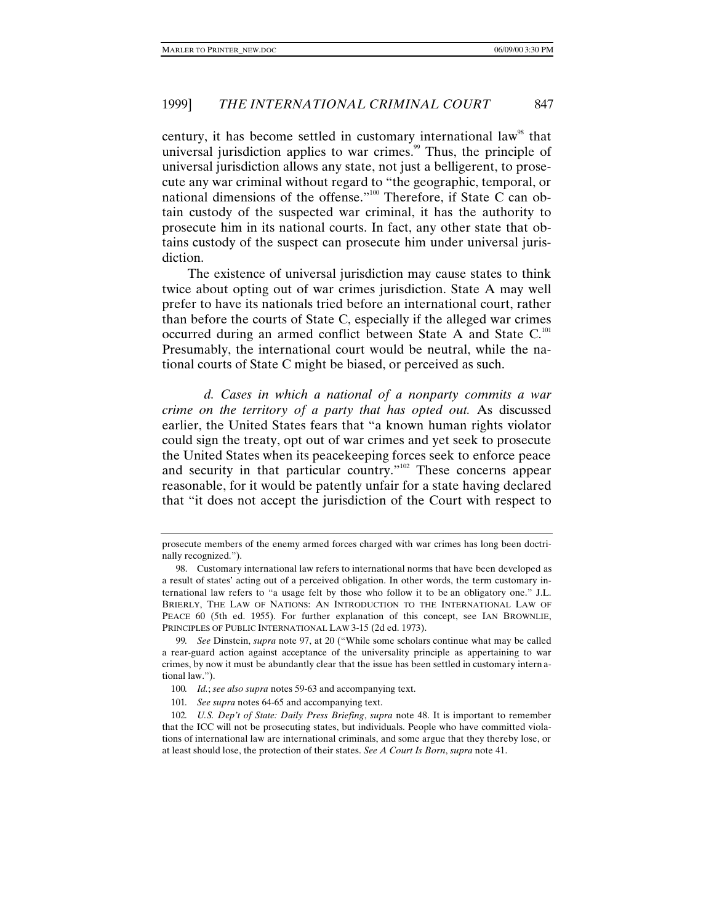century, it has become settled in customary international law<sup>98</sup> that universal jurisdiction applies to war crimes.<sup>99</sup> Thus, the principle of universal jurisdiction allows any state, not just a belligerent, to prosecute any war criminal without regard to "the geographic, temporal, or national dimensions of the offense."100 Therefore, if State C can obtain custody of the suspected war criminal, it has the authority to prosecute him in its national courts. In fact, any other state that obtains custody of the suspect can prosecute him under universal jurisdiction.

The existence of universal jurisdiction may cause states to think twice about opting out of war crimes jurisdiction. State A may well prefer to have its nationals tried before an international court, rather than before the courts of State C, especially if the alleged war crimes occurred during an armed conflict between State A and State C.<sup>101</sup> Presumably, the international court would be neutral, while the national courts of State C might be biased, or perceived as such.

*d. Cases in which a national of a nonparty commits a war crime on the territory of a party that has opted out.* As discussed earlier, the United States fears that "a known human rights violator could sign the treaty, opt out of war crimes and yet seek to prosecute the United States when its peacekeeping forces seek to enforce peace and security in that particular country."102 These concerns appear reasonable, for it would be patently unfair for a state having declared that "it does not accept the jurisdiction of the Court with respect to

prosecute members of the enemy armed forces charged with war crimes has long been doctrinally recognized.").

<sup>98.</sup> Customary international law refers to international norms that have been developed as a result of states' acting out of a perceived obligation. In other words, the term customary international law refers to "a usage felt by those who follow it to be an obligatory one." J.L. BRIERLY, THE LAW OF NATIONS: AN INTRODUCTION TO THE INTERNATIONAL LAW OF PEACE 60 (5th ed. 1955). For further explanation of this concept, see IAN BROWNLIE, PRINCIPLES OF PUBLIC INTERNATIONAL LAW 3-15 (2d ed. 1973).

<sup>99</sup>*. See* Dinstein, *supra* note 97, at 20 ("While some scholars continue what may be called a rear-guard action against acceptance of the universality principle as appertaining to war crimes, by now it must be abundantly clear that the issue has been settled in customary intern ational law.").

<sup>100</sup>*. Id.*; *see also supra* notes 59-63 and accompanying text.

<sup>101</sup>*. See supra* notes 64-65 and accompanying text.

<sup>102</sup>*. U.S. Dep't of State: Daily Press Briefing*, *supra* note 48. It is important to remember that the ICC will not be prosecuting states, but individuals. People who have committed violations of international law are international criminals, and some argue that they thereby lose, or at least should lose, the protection of their states. *See A Court Is Born*, *supra* note 41.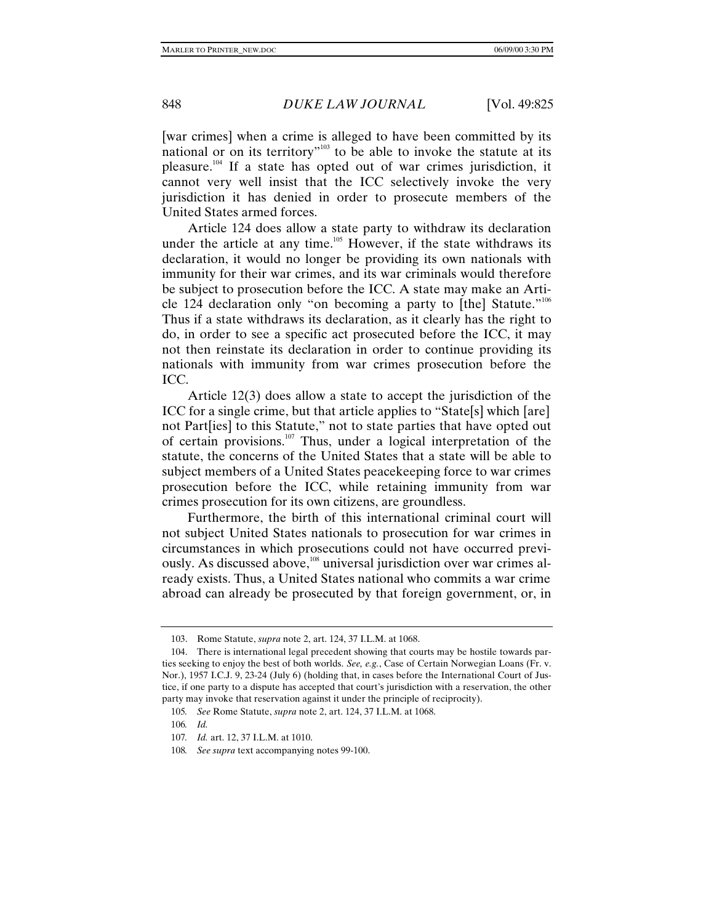[war crimes] when a crime is alleged to have been committed by its national or on its territory<sup> $n_{103}$ </sup> to be able to invoke the statute at its pleasure.104 If a state has opted out of war crimes jurisdiction, it cannot very well insist that the ICC selectively invoke the very jurisdiction it has denied in order to prosecute members of the United States armed forces.

Article 124 does allow a state party to withdraw its declaration under the article at any time.<sup>105</sup> However, if the state withdraws its declaration, it would no longer be providing its own nationals with immunity for their war crimes, and its war criminals would therefore be subject to prosecution before the ICC. A state may make an Article 124 declaration only "on becoming a party to [the] Statute."<sup>106</sup> Thus if a state withdraws its declaration, as it clearly has the right to do, in order to see a specific act prosecuted before the ICC, it may not then reinstate its declaration in order to continue providing its nationals with immunity from war crimes prosecution before the ICC.

Article 12(3) does allow a state to accept the jurisdiction of the ICC for a single crime, but that article applies to "State[s] which [are] not Part[ies] to this Statute," not to state parties that have opted out of certain provisions.<sup>107</sup> Thus, under a logical interpretation of the statute, the concerns of the United States that a state will be able to subject members of a United States peacekeeping force to war crimes prosecution before the ICC, while retaining immunity from war crimes prosecution for its own citizens, are groundless.

Furthermore, the birth of this international criminal court will not subject United States nationals to prosecution for war crimes in circumstances in which prosecutions could not have occurred previously. As discussed above,<sup>108</sup> universal jurisdiction over war crimes already exists. Thus, a United States national who commits a war crime abroad can already be prosecuted by that foreign government, or, in

<sup>103.</sup> Rome Statute, *supra* note 2, art. 124, 37 I.L.M. at 1068.

<sup>104.</sup> There is international legal precedent showing that courts may be hostile towards parties seeking to enjoy the best of both worlds. *See, e.g.*, Case of Certain Norwegian Loans (Fr. v. Nor.), 1957 I.C.J. 9, 23-24 (July 6) (holding that, in cases before the International Court of Justice, if one party to a dispute has accepted that court's jurisdiction with a reservation, the other party may invoke that reservation against it under the principle of reciprocity).

<sup>105</sup>*. See* Rome Statute, *supra* note 2, art. 124, 37 I.L.M. at 1068.

<sup>106</sup>*. Id.*

<sup>107</sup>*. Id.* art. 12, 37 I.L.M. at 1010.

<sup>108</sup>*. See supra* text accompanying notes 99-100.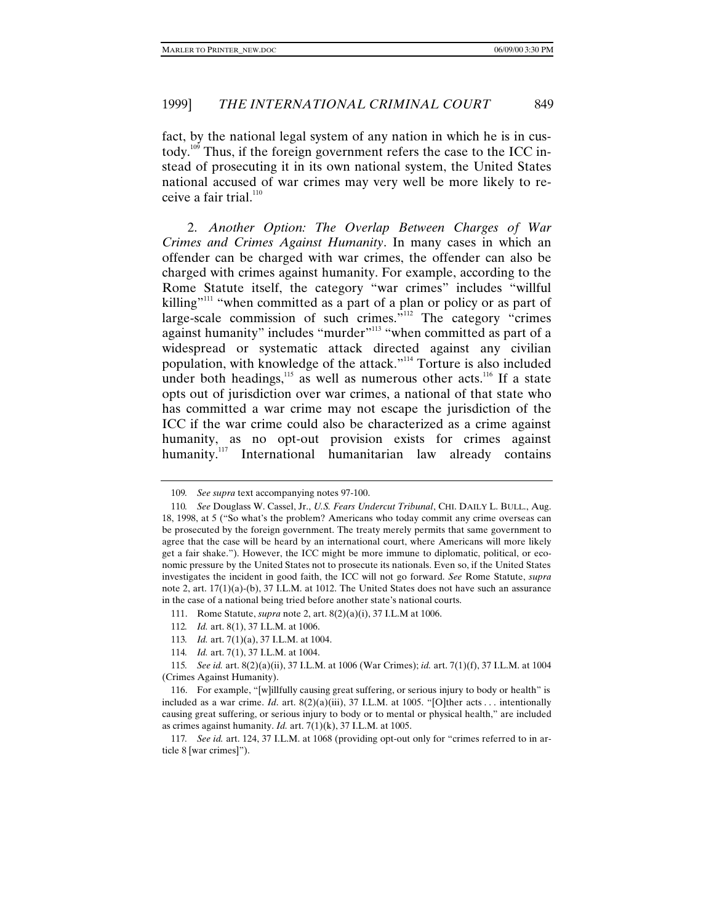fact, by the national legal system of any nation in which he is in custody.<sup>109</sup> Thus, if the foreign government refers the case to the ICC instead of prosecuting it in its own national system, the United States national accused of war crimes may very well be more likely to receive a fair trial. $110$ 

2. *Another Option: The Overlap Between Charges of War Crimes and Crimes Against Humanity*. In many cases in which an offender can be charged with war crimes, the offender can also be charged with crimes against humanity. For example, according to the Rome Statute itself, the category "war crimes" includes "willful killing"<sup>111</sup> "when committed as a part of a plan or policy or as part of large-scale commission of such crimes."112 The category "crimes against humanity" includes "murder"<sup>113</sup> "when committed as part of a widespread or systematic attack directed against any civilian population, with knowledge of the attack."114 Torture is also included under both headings, $115$  as well as numerous other acts.<sup>116</sup> If a state opts out of jurisdiction over war crimes, a national of that state who has committed a war crime may not escape the jurisdiction of the ICC if the war crime could also be characterized as a crime against humanity, as no opt-out provision exists for crimes against humanity.<sup>117</sup> International humanitarian law already contains

- 112*. Id.* art. 8(1), 37 I.L.M. at 1006.
- 113*. Id.* art. 7(1)(a), 37 I.L.M. at 1004.
- 114*. Id.* art. 7(1), 37 I.L.M. at 1004.

115*. See id.* art. 8(2)(a)(ii), 37 I.L.M. at 1006 (War Crimes); *id.* art. 7(1)(f), 37 I.L.M. at 1004 (Crimes Against Humanity).

117*. See id.* art. 124, 37 I.L.M. at 1068 (providing opt-out only for "crimes referred to in article 8 [war crimes]").

<sup>109</sup>*. See supra* text accompanying notes 97-100.

<sup>110</sup>*. See* Douglass W. Cassel, Jr., *U.S. Fears Undercut Tribunal*, CHI. DAILY L. BULL., Aug. 18, 1998, at 5 ("So what's the problem? Americans who today commit any crime overseas can be prosecuted by the foreign government. The treaty merely permits that same government to agree that the case will be heard by an international court, where Americans will more likely get a fair shake."). However, the ICC might be more immune to diplomatic, political, or economic pressure by the United States not to prosecute its nationals. Even so, if the United States investigates the incident in good faith, the ICC will not go forward. *See* Rome Statute, *supra* note 2, art. 17(1)(a)-(b), 37 I.L.M. at 1012. The United States does not have such an assurance in the case of a national being tried before another state's national courts.

<sup>111.</sup> Rome Statute, *supra* note 2, art. 8(2)(a)(i), 37 I.L.M at 1006.

<sup>116.</sup> For example, "[w]illfully causing great suffering, or serious injury to body or health" is included as a war crime. *Id.* art.  $8(2)(a)(iii)$ , 37 I.L.M. at 1005. "[O]ther acts . . . intentionally causing great suffering, or serious injury to body or to mental or physical health," are included as crimes against humanity. *Id.* art. 7(1)(k), 37 I.L.M. at 1005.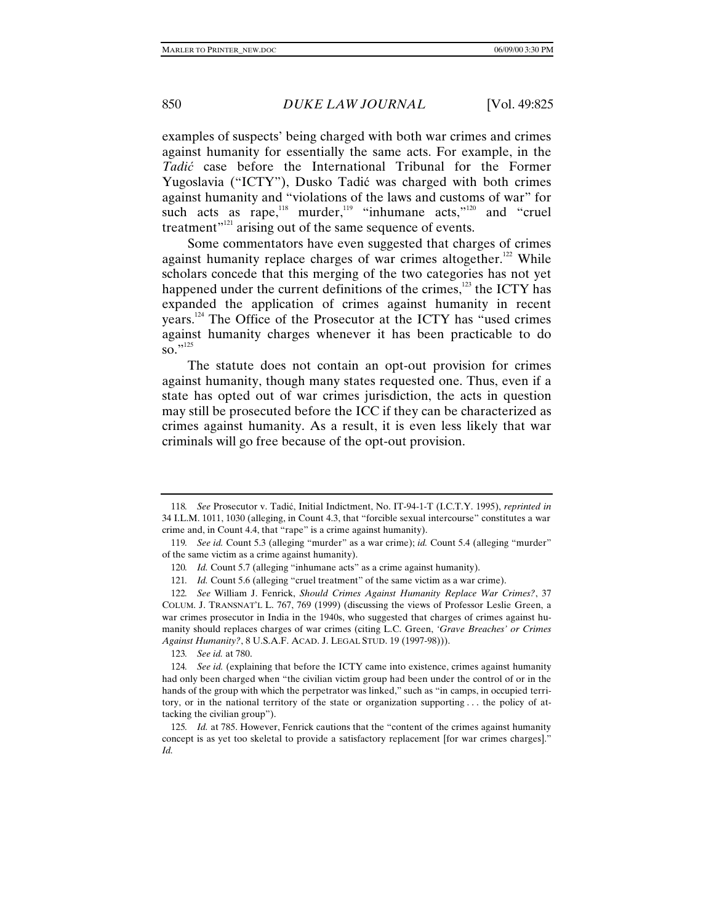examples of suspects' being charged with both war crimes and crimes against humanity for essentially the same acts. For example, in the *Tadić* case before the International Tribunal for the Former Yugoslavia ("ICTY"), Dusko Tadić was charged with both crimes against humanity and "violations of the laws and customs of war" for such acts as rape,<sup>118</sup> murder,<sup>119</sup> "inhumane acts,"<sup>120</sup> and "cruel" treatment"<sup>121</sup> arising out of the same sequence of events.

Some commentators have even suggested that charges of crimes against humanity replace charges of war crimes altogether.<sup>122</sup> While scholars concede that this merging of the two categories has not yet happened under the current definitions of the crimes, $123$  the ICTY has expanded the application of crimes against humanity in recent years.124 The Office of the Prosecutor at the ICTY has "used crimes against humanity charges whenever it has been practicable to do  $\overline{\text{so}}$ ."<sup>125</sup>

The statute does not contain an opt-out provision for crimes against humanity, though many states requested one. Thus, even if a state has opted out of war crimes jurisdiction, the acts in question may still be prosecuted before the ICC if they can be characterized as crimes against humanity. As a result, it is even less likely that war criminals will go free because of the opt-out provision.

123*. See id.* at 780.

<sup>118</sup>*. See* Prosecutor v. Tadić, Initial Indictment, No. IT-94-1-T (I.C.T.Y. 1995), *reprinted in* 34 I.L.M. 1011, 1030 (alleging, in Count 4.3, that "forcible sexual intercourse" constitutes a war crime and, in Count 4.4, that "rape" is a crime against humanity).

<sup>119</sup>*. See id.* Count 5.3 (alleging "murder" as a war crime); *id.* Count 5.4 (alleging "murder" of the same victim as a crime against humanity).

<sup>120.</sup> *Id.* Count 5.7 (alleging "inhumane acts" as a crime against humanity).

<sup>121</sup>*. Id.* Count 5.6 (alleging "cruel treatment" of the same victim as a war crime).

<sup>122</sup>*. See* William J. Fenrick, *Should Crimes Against Humanity Replace War Crimes?*, 37 COLUM. J. TRANSNAT'L L. 767, 769 (1999) (discussing the views of Professor Leslie Green, a war crimes prosecutor in India in the 1940s, who suggested that charges of crimes against humanity should replaces charges of war crimes (citing L.C. Green, *'Grave Breaches' or Crimes Against Humanity?*, 8 U.S.A.F. ACAD. J. LEGAL STUD. 19 (1997-98))).

<sup>124</sup>*. See id.* (explaining that before the ICTY came into existence, crimes against humanity had only been charged when "the civilian victim group had been under the control of or in the hands of the group with which the perpetrator was linked," such as "in camps, in occupied territory, or in the national territory of the state or organization supporting . . . the policy of attacking the civilian group").

<sup>125</sup>*. Id.* at 785. However, Fenrick cautions that the "content of the crimes against humanity concept is as yet too skeletal to provide a satisfactory replacement [for war crimes charges]." *Id.*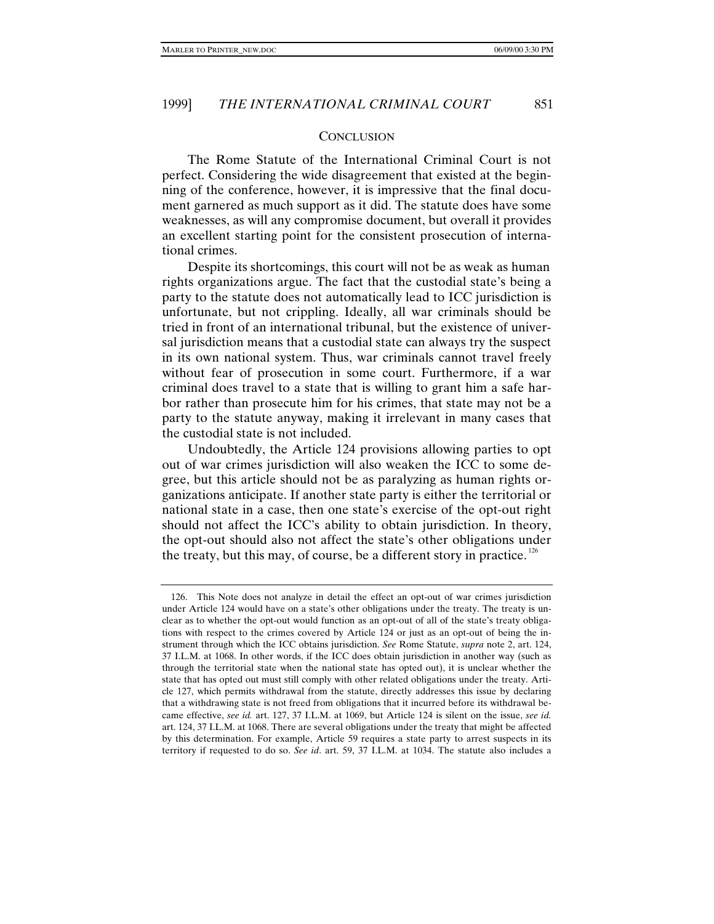#### **CONCLUSION**

The Rome Statute of the International Criminal Court is not perfect. Considering the wide disagreement that existed at the beginning of the conference, however, it is impressive that the final document garnered as much support as it did. The statute does have some weaknesses, as will any compromise document, but overall it provides an excellent starting point for the consistent prosecution of international crimes.

Despite its shortcomings, this court will not be as weak as human rights organizations argue. The fact that the custodial state's being a party to the statute does not automatically lead to ICC jurisdiction is unfortunate, but not crippling. Ideally, all war criminals should be tried in front of an international tribunal, but the existence of universal jurisdiction means that a custodial state can always try the suspect in its own national system. Thus, war criminals cannot travel freely without fear of prosecution in some court. Furthermore, if a war criminal does travel to a state that is willing to grant him a safe harbor rather than prosecute him for his crimes, that state may not be a party to the statute anyway, making it irrelevant in many cases that the custodial state is not included.

Undoubtedly, the Article 124 provisions allowing parties to opt out of war crimes jurisdiction will also weaken the ICC to some degree, but this article should not be as paralyzing as human rights organizations anticipate. If another state party is either the territorial or national state in a case, then one state's exercise of the opt-out right should not affect the ICC's ability to obtain jurisdiction. In theory, the opt-out should also not affect the state's other obligations under the treaty, but this may, of course, be a different story in practice.  $126$ 

<sup>126.</sup> This Note does not analyze in detail the effect an opt-out of war crimes jurisdiction under Article 124 would have on a state's other obligations under the treaty. The treaty is unclear as to whether the opt-out would function as an opt-out of all of the state's treaty obligations with respect to the crimes covered by Article 124 or just as an opt-out of being the instrument through which the ICC obtains jurisdiction. *See* Rome Statute, *supra* note 2, art. 124, 37 I.L.M. at 1068. In other words, if the ICC does obtain jurisdiction in another way (such as through the territorial state when the national state has opted out), it is unclear whether the state that has opted out must still comply with other related obligations under the treaty. Article 127, which permits withdrawal from the statute, directly addresses this issue by declaring that a withdrawing state is not freed from obligations that it incurred before its withdrawal became effective, *see id.* art. 127, 37 I.L.M. at 1069, but Article 124 is silent on the issue, *see id.* art. 124, 37 I.L.M. at 1068. There are several obligations under the treaty that might be affected by this determination. For example, Article 59 requires a state party to arrest suspects in its territory if requested to do so. *See id*. art. 59, 37 I.L.M. at 1034. The statute also includes a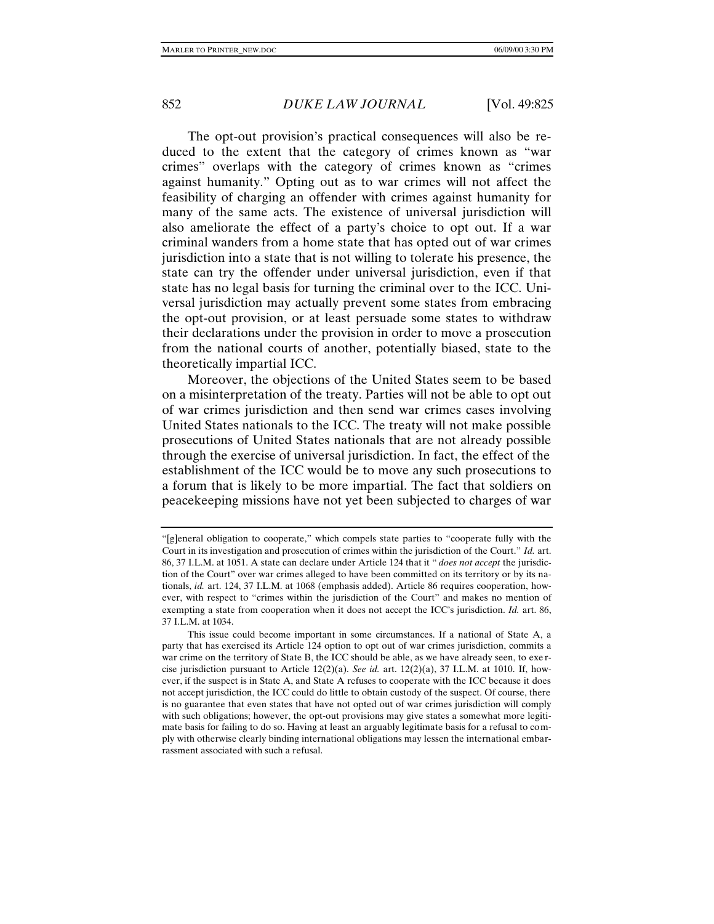The opt-out provision's practical consequences will also be reduced to the extent that the category of crimes known as "war crimes" overlaps with the category of crimes known as "crimes against humanity." Opting out as to war crimes will not affect the feasibility of charging an offender with crimes against humanity for many of the same acts. The existence of universal jurisdiction will also ameliorate the effect of a party's choice to opt out. If a war criminal wanders from a home state that has opted out of war crimes jurisdiction into a state that is not willing to tolerate his presence, the state can try the offender under universal jurisdiction, even if that state has no legal basis for turning the criminal over to the ICC. Universal jurisdiction may actually prevent some states from embracing the opt-out provision, or at least persuade some states to withdraw their declarations under the provision in order to move a prosecution from the national courts of another, potentially biased, state to the theoretically impartial ICC.

Moreover, the objections of the United States seem to be based on a misinterpretation of the treaty. Parties will not be able to opt out of war crimes jurisdiction and then send war crimes cases involving United States nationals to the ICC. The treaty will not make possible prosecutions of United States nationals that are not already possible through the exercise of universal jurisdiction. In fact, the effect of the establishment of the ICC would be to move any such prosecutions to a forum that is likely to be more impartial. The fact that soldiers on peacekeeping missions have not yet been subjected to charges of war

<sup>&</sup>quot;[g]eneral obligation to cooperate," which compels state parties to "cooperate fully with the Court in its investigation and prosecution of crimes within the jurisdiction of the Court." *Id.* art. 86, 37 I.L.M. at 1051. A state can declare under Article 124 that it " *does not accept* the jurisdiction of the Court" over war crimes alleged to have been committed on its territory or by its nationals, *id.* art. 124, 37 I.L.M. at 1068 (emphasis added). Article 86 requires cooperation, however, with respect to "crimes within the jurisdiction of the Court" and makes no mention of exempting a state from cooperation when it does not accept the ICC's jurisdiction. *Id.* art. 86, 37 I.L.M. at 1034.

This issue could become important in some circumstances. If a national of State A, a party that has exercised its Article 124 option to opt out of war crimes jurisdiction, commits a war crime on the territory of State B, the ICC should be able, as we have already seen, to exe rcise jurisdiction pursuant to Article  $12(2)(a)$ . *See id.* art.  $12(2)(a)$ , 37 I.L.M. at 1010. If, however, if the suspect is in State A, and State A refuses to cooperate with the ICC because it does not accept jurisdiction, the ICC could do little to obtain custody of the suspect. Of course, there is no guarantee that even states that have not opted out of war crimes jurisdiction will comply with such obligations; however, the opt-out provisions may give states a somewhat more legitimate basis for failing to do so. Having at least an arguably legitimate basis for a refusal to comply with otherwise clearly binding international obligations may lessen the international embarrassment associated with such a refusal.